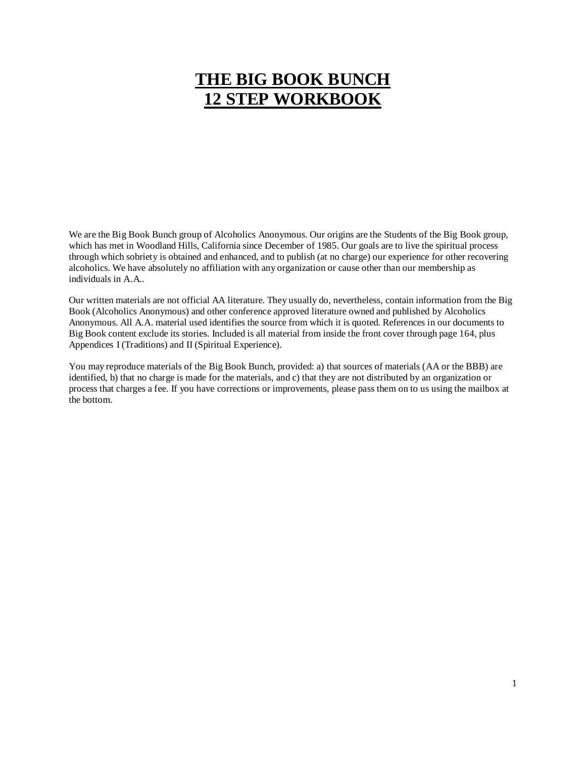## **THE BIG BOOK BUNCH 12 STEP WORKBOOK**

We are the Big Book Bunch group of Alcoholics Anonymous. Our origins are the Students of the Big Book group, which has met in Woodland Hills, California since December of 1985. Our goals are to live the spiritual process through which sobriety is obtained and enhanced, and to publish (at no charge) our experience for other recovering alcoholics. We have absolutely no affiliation with any organization or cause other than our membership as individuals in A.A..

Our written materials are not official AA literature. They usually do, nevertheless, contain information from the Big Book (Alcoholics Anonymous) and other conference approved literature owned and published by Alcoholics Anonymous. All A.A. material used identifies the source from which it is quoted. References in our documents to Big Book content exclude its stories. Included is all material from inside the front cover through page 164, plus Appendices I (Traditions) and II (Spiritual Experience).

You may reproduce materials of the Big Book Bunch, provided: a) that sources of materials (AA or the BBB) are identified, b) that no charge is made for the materials, and c) that they are not distributed by an organization or process that charges a fee. If you have corrections or improvements, please pass them on to us using the mailbox at the bottom.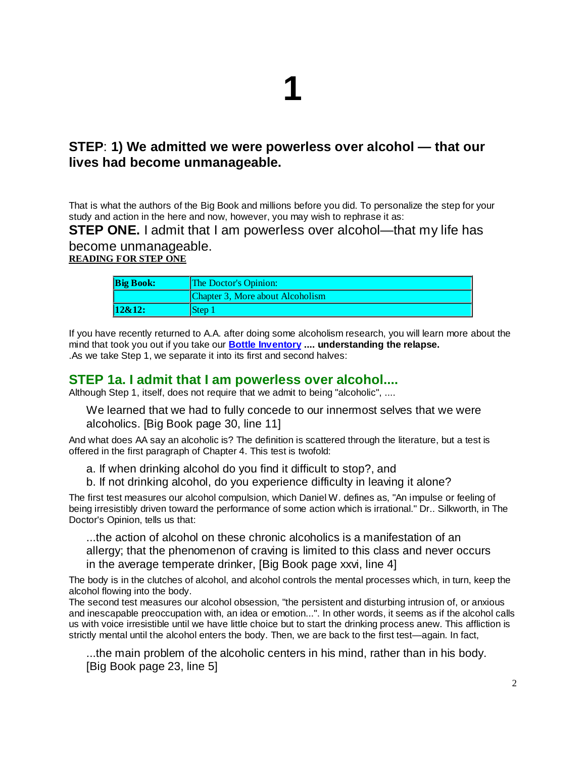## **1**

## **STEP**: **1) We admitted we were powerless over alcohol — that our lives had become unmanageable.**

That is what the authors of the Big Book and millions before you did. To personalize the step for your study and action in the here and now, however, you may wish to rephrase it as:

**STEP ONE.** I admit that I am powerless over alcohol—that my life has become unmanageable.

### **READING FOR STEP ONE**

| <b>Big Book:</b> | <b>The Doctor's Opinion:</b>     |  |
|------------------|----------------------------------|--|
|                  | Chapter 3, More about Alcoholism |  |
| 12&812:          | <b>IStep 1</b>                   |  |

If you have recently returned to A.A. after doing some alcoholism research, you will learn more about the mind that took you out if you take our **Bottle Inventory .... understanding the relapse.** .As we take Step 1, we separate it into its first and second halves:

## **STEP 1a. I admit that I am powerless over alcohol....**

Although Step 1, itself, does not require that we admit to being "alcoholic", ....

We learned that we had to fully concede to our innermost selves that we were alcoholics. [Big Book page 30, line 11]

And what does AA say an alcoholic is? The definition is scattered through the literature, but a test is offered in the first paragraph of Chapter 4. This test is twofold:

a. If when drinking alcohol do you find it difficult to stop?, and

b. If not drinking alcohol, do you experience difficulty in leaving it alone?

The first test measures our alcohol compulsion, which Daniel W. defines as, "An impulse or feeling of being irresistibly driven toward the performance of some action which is irrational." Dr.. Silkworth, in The Doctor's Opinion, tells us that:

...the action of alcohol on these chronic alcoholics is a manifestation of an allergy; that the phenomenon of craving is limited to this class and never occurs in the average temperate drinker, [Big Book page xxvi, line 4]

The body is in the clutches of alcohol, and alcohol controls the mental processes which, in turn, keep the alcohol flowing into the body.

The second test measures our alcohol obsession, "the persistent and disturbing intrusion of, or anxious and inescapable preoccupation with, an idea or emotion...". In other words, it seems as if the alcohol calls us with voice irresistible until we have little choice but to start the drinking process anew. This affliction is strictly mental until the alcohol enters the body. Then, we are back to the first test—again. In fact,

...the main problem of the alcoholic centers in his mind, rather than in his body. [Big Book page 23, line 5]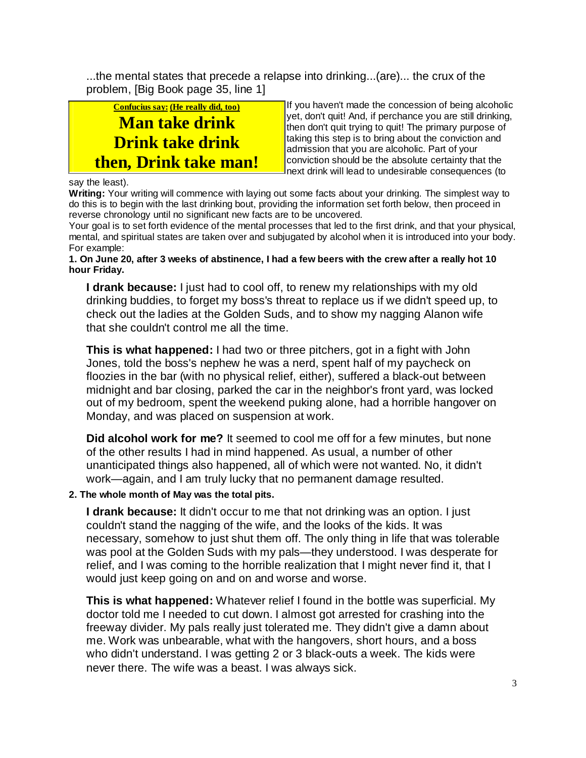...the mental states that precede a relapse into drinking...(are)... the crux of the problem, [Big Book page 35, line 1]

## **Confucius say: (He really did, too) Man take drink Drink take drink then, Drink take man!**

If you haven't made the concession of being alcoholic yet, don't quit! And, if perchance you are still drinking, then don't quit trying to quit! The primary purpose of taking this step is to bring about the conviction and admission that you are alcoholic. Part of your conviction should be the absolute certainty that the next drink will lead to undesirable consequences (to

say the least).

**Writing:** Your writing will commence with laying out some facts about your drinking. The simplest way to do this is to begin with the last drinking bout, providing the information set forth below, then proceed in reverse chronology until no significant new facts are to be uncovered.

Your goal is to set forth evidence of the mental processes that led to the first drink, and that your physical, mental, and spiritual states are taken over and subjugated by alcohol when it is introduced into your body. For example:

**1. On June 20, after 3 weeks of abstinence, I had a few beers with the crew after a really hot 10 hour Friday.**

**I drank because:** I just had to cool off, to renew my relationships with my old drinking buddies, to forget my boss's threat to replace us if we didn't speed up, to check out the ladies at the Golden Suds, and to show my nagging Alanon wife that she couldn't control me all the time.

**This is what happened:** I had two or three pitchers, got in a fight with John Jones, told the boss's nephew he was a nerd, spent half of my paycheck on floozies in the bar (with no physical relief, either), suffered a black-out between midnight and bar closing, parked the car in the neighbor's front yard, was locked out of my bedroom, spent the weekend puking alone, had a horrible hangover on Monday, and was placed on suspension at work.

**Did alcohol work for me?** It seemed to cool me off for a few minutes, but none of the other results I had in mind happened. As usual, a number of other unanticipated things also happened, all of which were not wanted. No, it didn't work—again, and I am truly lucky that no permanent damage resulted.

#### **2. The whole month of May was the total pits.**

**I drank because:** It didn't occur to me that not drinking was an option. I just couldn't stand the nagging of the wife, and the looks of the kids. It was necessary, somehow to just shut them off. The only thing in life that was tolerable was pool at the Golden Suds with my pals—they understood. I was desperate for relief, and I was coming to the horrible realization that I might never find it, that I would just keep going on and on and worse and worse.

**This is what happened:** Whatever relief I found in the bottle was superficial. My doctor told me I needed to cut down. I almost got arrested for crashing into the freeway divider. My pals really just tolerated me. They didn't give a damn about me. Work was unbearable, what with the hangovers, short hours, and a boss who didn't understand. I was getting 2 or 3 black-outs a week. The kids were never there. The wife was a beast. I was always sick.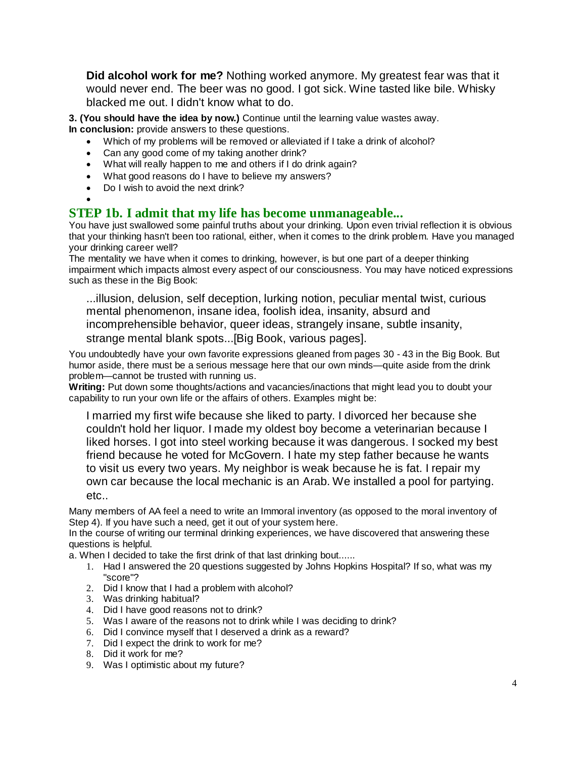**Did alcohol work for me?** Nothing worked anymore. My greatest fear was that it would never end. The beer was no good. I got sick. Wine tasted like bile. Whisky blacked me out. I didn't know what to do.

**3. (You should have the idea by now.)** Continue until the learning value wastes away. **In conclusion:** provide answers to these questions.

- Which of my problems will be removed or alleviated if I take a drink of alcohol?
- Can any good come of my taking another drink?
- What will really happen to me and others if I do drink again?
- What good reasons do I have to believe my answers?
- Do I wish to avoid the next drink?

 $\bullet$ 

### **STEP 1b. I admit that my life has become unmanageable...**

You have just swallowed some painful truths about your drinking. Upon even trivial reflection it is obvious that your thinking hasn't been too rational, either, when it comes to the drink problem. Have you managed your drinking career well?

The mentality we have when it comes to drinking, however, is but one part of a deeper thinking impairment which impacts almost every aspect of our consciousness. You may have noticed expressions such as these in the Big Book:

...illusion, delusion, self deception, lurking notion, peculiar mental twist, curious mental phenomenon, insane idea, foolish idea, insanity, absurd and incomprehensible behavior, queer ideas, strangely insane, subtle insanity, strange mental blank spots...[Big Book, various pages].

You undoubtedly have your own favorite expressions gleaned from pages 30 - 43 in the Big Book. But humor aside, there must be a serious message here that our own minds—quite aside from the drink problem—cannot be trusted with running us.

**Writing:** Put down some thoughts/actions and vacancies/inactions that might lead you to doubt your capability to run your own life or the affairs of others. Examples might be:

I married my first wife because she liked to party. I divorced her because she couldn't hold her liquor. I made my oldest boy become a veterinarian because I liked horses. I got into steel working because it was dangerous. I socked my best friend because he voted for McGovern. I hate my step father because he wants to visit us every two years. My neighbor is weak because he is fat. I repair my own car because the local mechanic is an Arab. We installed a pool for partying. etc..

Many members of AA feel a need to write an Immoral inventory (as opposed to the moral inventory of Step 4). If you have such a need, get it out of your system here.

In the course of writing our terminal drinking experiences, we have discovered that answering these questions is helpful.

a. When I decided to take the first drink of that last drinking bout......

- 1. Had I answered the 20 questions suggested by Johns Hopkins Hospital? If so, what was my "score"?
- 2. Did I know that I had a problem with alcohol?
- 3. Was drinking habitual?
- 4. Did I have good reasons not to drink?
- 5. Was I aware of the reasons not to drink while I was deciding to drink?
- 6. Did I convince myself that I deserved a drink as a reward?
- 7. Did I expect the drink to work for me?
- 8. Did it work for me?
- 9. Was I optimistic about my future?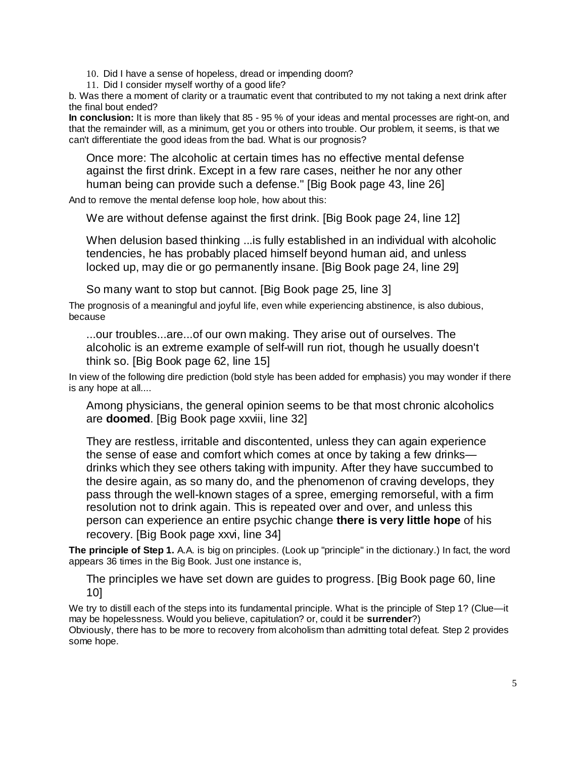10. Did I have a sense of hopeless, dread or impending doom?

11. Did I consider myself worthy of a good life?

b. Was there a moment of clarity or a traumatic event that contributed to my not taking a next drink after the final bout ended?

**In conclusion:** It is more than likely that 85 - 95 % of your ideas and mental processes are right-on, and that the remainder will, as a minimum, get you or others into trouble. Our problem, it seems, is that we can't differentiate the good ideas from the bad. What is our prognosis?

Once more: The alcoholic at certain times has no effective mental defense against the first drink. Except in a few rare cases, neither he nor any other human being can provide such a defense." [Big Book page 43, line 26]

And to remove the mental defense loop hole, how about this:

We are without defense against the first drink. [Big Book page 24, line 12]

When delusion based thinking ...is fully established in an individual with alcoholic tendencies, he has probably placed himself beyond human aid, and unless locked up, may die or go permanently insane. [Big Book page 24, line 29]

So many want to stop but cannot. [Big Book page 25, line 3]

The prognosis of a meaningful and joyful life, even while experiencing abstinence, is also dubious, because

...our troubles...are...of our own making. They arise out of ourselves. The alcoholic is an extreme example of self-will run riot, though he usually doesn't think so. [Big Book page 62, line 15]

In view of the following dire prediction (bold style has been added for emphasis) you may wonder if there is any hope at all....

Among physicians, the general opinion seems to be that most chronic alcoholics are **doomed**. [Big Book page xxviii, line 32]

They are restless, irritable and discontented, unless they can again experience the sense of ease and comfort which comes at once by taking a few drinks drinks which they see others taking with impunity. After they have succumbed to the desire again, as so many do, and the phenomenon of craving develops, they pass through the well-known stages of a spree, emerging remorseful, with a firm resolution not to drink again. This is repeated over and over, and unless this person can experience an entire psychic change **there is very little hope** of his recovery. [Big Book page xxvi, line 34]

**The principle of Step 1.** A.A. is big on principles. (Look up "principle" in the dictionary.) In fact, the word appears 36 times in the Big Book. Just one instance is,

The principles we have set down are guides to progress. [Big Book page 60, line 10]

We try to distill each of the steps into its fundamental principle. What is the principle of Step 1? (Clue—it may be hopelessness. Would you believe, capitulation? or, could it be **surrender**?) Obviously, there has to be more to recovery from alcoholism than admitting total defeat. Step 2 provides some hope.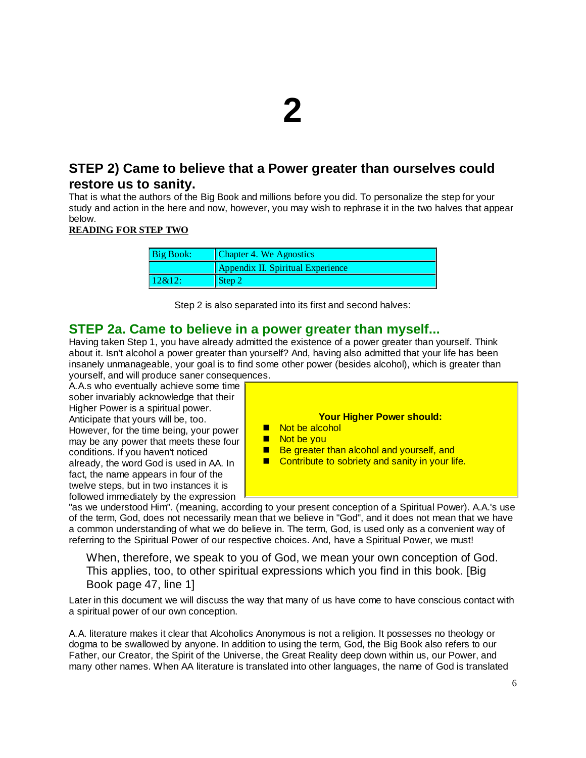## **2**

## **STEP 2) Came to believe that a Power greater than ourselves could restore us to sanity.**

That is what the authors of the Big Book and millions before you did. To personalize the step for your study and action in the here and now, however, you may wish to rephrase it in the two halves that appear below.

**READING FOR STEP TWO**

| <b>Big Book:</b> | <b>Chapter 4. We Agnostics</b>    |  |
|------------------|-----------------------------------|--|
|                  | Appendix II. Spiritual Experience |  |
| 12&12:           | $\sqrt{\text{Step } 2}$           |  |

Step 2 is also separated into its first and second halves:

## **STEP 2a. Came to believe in a power greater than myself...**

Having taken Step 1, you have already admitted the existence of a power greater than yourself. Think about it. Isn't alcohol a power greater than yourself? And, having also admitted that your life has been insanely unmanageable, your goal is to find some other power (besides alcohol), which is greater than yourself, and will produce saner consequences.

A.A.s who eventually achieve some time sober invariably acknowledge that their Higher Power is a spiritual power. Anticipate that yours will be, too. However, for the time being, your power may be any power that meets these four conditions. If you haven't noticed already, the word God is used in AA. In fact, the name appears in four of the twelve steps, but in two instances it is followed immediately by the expression



"as we understood Him". (meaning, according to your present conception of a Spiritual Power). A.A.'s use of the term, God, does not necessarily mean that we believe in "God", and it does not mean that we have a common understanding of what we do believe in. The term, God, is used only as a convenient way of referring to the Spiritual Power of our respective choices. And, have a Spiritual Power, we must!

When, therefore, we speak to you of God, we mean your own conception of God. This applies, too, to other spiritual expressions which you find in this book. [Big Book page 47, line 1]

Later in this document we will discuss the way that many of us have come to have conscious contact with a spiritual power of our own conception.

A.A. literature makes it clear that Alcoholics Anonymous is not a religion. It possesses no theology or dogma to be swallowed by anyone. In addition to using the term, God, the Big Book also refers to our Father, our Creator, the Spirit of the Universe, the Great Reality deep down within us, our Power, and many other names. When AA literature is translated into other languages, the name of God is translated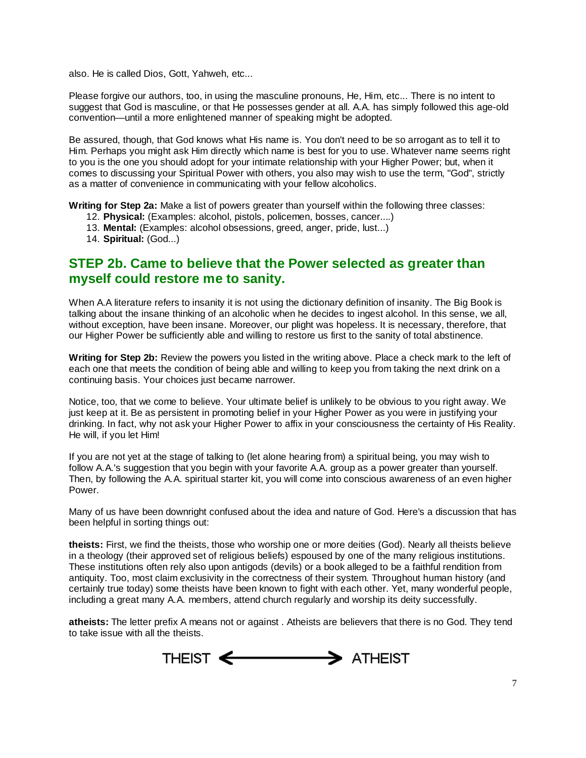also. He is called Dios, Gott, Yahweh, etc...

Please forgive our authors, too, in using the masculine pronouns, He, Him, etc... There is no intent to suggest that God is masculine, or that He possesses gender at all. A.A. has simply followed this age-old convention—until a more enlightened manner of speaking might be adopted.

Be assured, though, that God knows what His name is. You don't need to be so arrogant as to tell it to Him. Perhaps you might ask Him directly which name is best for you to use. Whatever name seems right to you is the one you should adopt for your intimate relationship with your Higher Power; but, when it comes to discussing your Spiritual Power with others, you also may wish to use the term, "God", strictly as a matter of convenience in communicating with your fellow alcoholics.

**Writing for Step 2a:** Make a list of powers greater than yourself within the following three classes:

- 12. **Physical:** (Examples: alcohol, pistols, policemen, bosses, cancer....)
- 13. **Mental:** (Examples: alcohol obsessions, greed, anger, pride, lust...)
- 14. **Spiritual:** (God...)

## **STEP 2b. Came to believe that the Power selected as greater than myself could restore me to sanity.**

When A.A literature refers to insanity it is not using the dictionary definition of insanity. The Big Book is talking about the insane thinking of an alcoholic when he decides to ingest alcohol. In this sense, we all, without exception, have been insane. Moreover, our plight was hopeless. It is necessary, therefore, that our Higher Power be sufficiently able and willing to restore us first to the sanity of total abstinence.

**Writing for Step 2b:** Review the powers you listed in the writing above. Place a check mark to the left of each one that meets the condition of being able and willing to keep you from taking the next drink on a continuing basis. Your choices just became narrower.

Notice, too, that we come to believe. Your ultimate belief is unlikely to be obvious to you right away. We just keep at it. Be as persistent in promoting belief in your Higher Power as you were in justifying your drinking. In fact, why not ask your Higher Power to affix in your consciousness the certainty of His Reality. He will, if you let Him!

If you are not yet at the stage of talking to (let alone hearing from) a spiritual being, you may wish to follow A.A.'s suggestion that you begin with your favorite A.A. group as a power greater than yourself. Then, by following the A.A. spiritual starter kit, you will come into conscious awareness of an even higher Power.

Many of us have been downright confused about the idea and nature of God. Here's a discussion that has been helpful in sorting things out:

**theists:** First, we find the theists, those who worship one or more deities (God). Nearly all theists believe in a theology (their approved set of religious beliefs) espoused by one of the many religious institutions. These institutions often rely also upon antigods (devils) or a book alleged to be a faithful rendition from antiquity. Too, most claim exclusivity in the correctness of their system. Throughout human history (and certainly true today) some theists have been known to fight with each other. Yet, many wonderful people, including a great many A.A. members, attend church regularly and worship its deity successfully.

**atheists:** The letter prefix A means not or against . Atheists are believers that there is no God. They tend to take issue with all the theists.

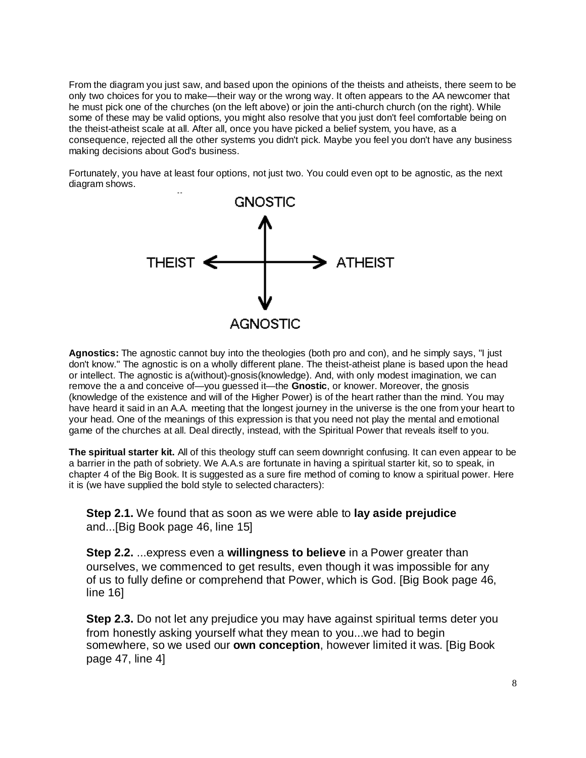From the diagram you just saw, and based upon the opinions of the theists and atheists, there seem to be only two choices for you to make—their way or the wrong way. It often appears to the AA newcomer that he must pick one of the churches (on the left above) or join the anti-church church (on the right). While some of these may be valid options, you might also resolve that you just don't feel comfortable being on the theist-atheist scale at all. After all, once you have picked a belief system, you have, as a consequence, rejected all the other systems you didn't pick. Maybe you feel you don't have any business making decisions about God's business.

Fortunately, you have at least four options, not just two. You could even opt to be agnostic, as the next diagram shows.



**Agnostics:** The agnostic cannot buy into the theologies (both pro and con), and he simply says, "I just don't know." The agnostic is on a wholly different plane. The theist-atheist plane is based upon the head or intellect. The agnostic is a(without)-gnosis(knowledge). And, with only modest imagination, we can remove the a and conceive of—you guessed it—the **Gnostic**, or knower. Moreover, the gnosis (knowledge of the existence and will of the Higher Power) is of the heart rather than the mind. You may have heard it said in an A.A. meeting that the longest journey in the universe is the one from your heart to your head. One of the meanings of this expression is that you need not play the mental and emotional game of the churches at all. Deal directly, instead, with the Spiritual Power that reveals itself to you.

**The spiritual starter kit.** All of this theology stuff can seem downright confusing. It can even appear to be a barrier in the path of sobriety. We A.A.s are fortunate in having a spiritual starter kit, so to speak, in chapter 4 of the Big Book. It is suggested as a sure fire method of coming to know a spiritual power. Here it is (we have supplied the bold style to selected characters):

**Step 2.1.** We found that as soon as we were able to **lay aside prejudice** and...[Big Book page 46, line 15]

**Step 2.2.** ...express even a **willingness to believe** in a Power greater than ourselves, we commenced to get results, even though it was impossible for any of us to fully define or comprehend that Power, which is God. [Big Book page 46, line 16]

**Step 2.3.** Do not let any prejudice you may have against spiritual terms deter you from honestly asking yourself what they mean to you...we had to begin somewhere, so we used our **own conception**, however limited it was. [Big Book page 47, line 4]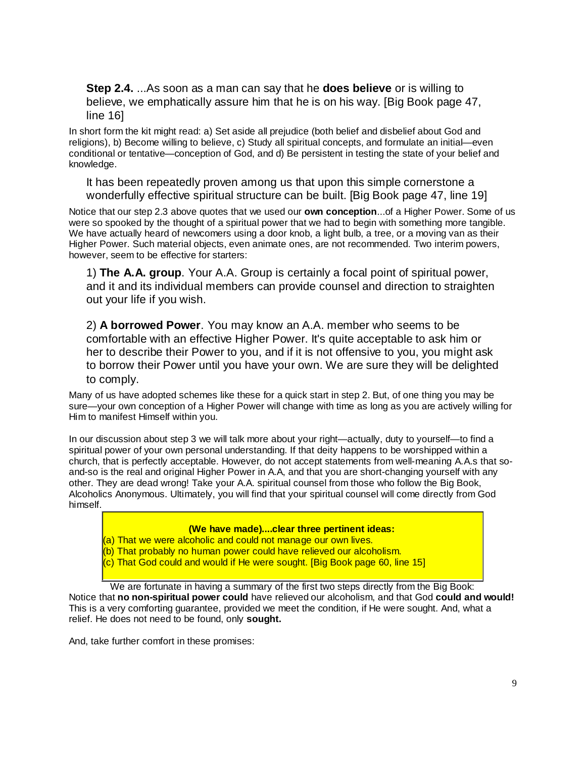**Step 2.4.** ...As soon as a man can say that he **does believe** or is willing to believe, we emphatically assure him that he is on his way. [Big Book page 47, line 16]

In short form the kit might read: a) Set aside all prejudice (both belief and disbelief about God and religions), b) Become willing to believe, c) Study all spiritual concepts, and formulate an initial—even conditional or tentative—conception of God, and d) Be persistent in testing the state of your belief and knowledge.

It has been repeatedly proven among us that upon this simple cornerstone a wonderfully effective spiritual structure can be built. [Big Book page 47, line 19]

Notice that our step 2.3 above quotes that we used our **own conception**...of a Higher Power. Some of us were so spooked by the thought of a spiritual power that we had to begin with something more tangible. We have actually heard of newcomers using a door knob, a light bulb, a tree, or a moving van as their Higher Power. Such material objects, even animate ones, are not recommended. Two interim powers, however, seem to be effective for starters:

1) **The A.A. group**. Your A.A. Group is certainly a focal point of spiritual power, and it and its individual members can provide counsel and direction to straighten out your life if you wish.

2) **A borrowed Power**. You may know an A.A. member who seems to be comfortable with an effective Higher Power. It's quite acceptable to ask him or her to describe their Power to you, and if it is not offensive to you, you might ask to borrow their Power until you have your own. We are sure they will be delighted to comply.

Many of us have adopted schemes like these for a quick start in step 2. But, of one thing you may be sure—your own conception of a Higher Power will change with time as long as you are actively willing for Him to manifest Himself within you.

In our discussion about step 3 we will talk more about your right—actually, duty to yourself—to find a spiritual power of your own personal understanding. If that deity happens to be worshipped within a church, that is perfectly acceptable. However, do not accept statements from well-meaning A.A.s that soand-so is the real and original Higher Power in A.A, and that you are short-changing yourself with any other. They are dead wrong! Take your A.A. spiritual counsel from those who follow the Big Book, Alcoholics Anonymous. Ultimately, you will find that your spiritual counsel will come directly from God himself.

#### **(We have made)....clear three pertinent ideas:**

(a) That we were alcoholic and could not manage our own lives.

(b) That probably no human power could have relieved our alcoholism.

(c) That God could and would if He were sought. [Big Book page 60, line 15]

We are fortunate in having a summary of the first two steps directly from the Big Book: Notice that **no non-spiritual power could** have relieved our alcoholism, and that God **could and would!** This is a very comforting guarantee, provided we meet the condition, if He were sought. And, what a relief. He does not need to be found, only **sought.**

And, take further comfort in these promises: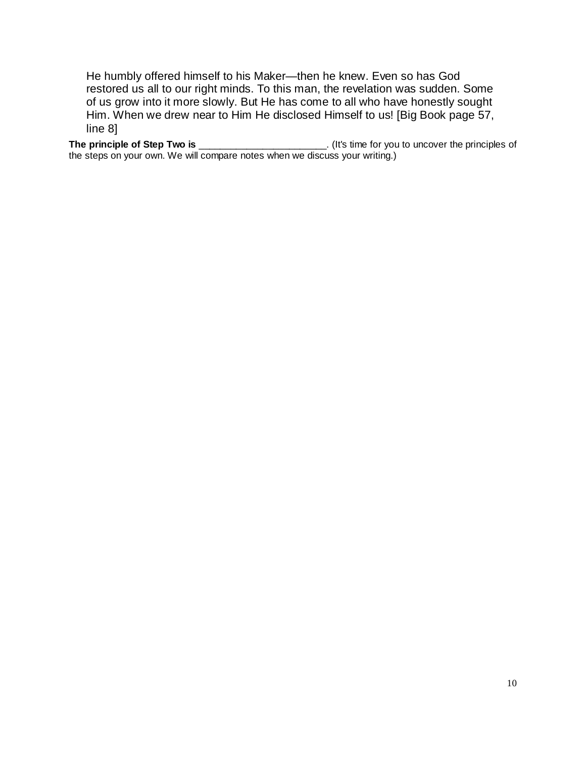He humbly offered himself to his Maker—then he knew. Even so has God restored us all to our right minds. To this man, the revelation was sudden. Some of us grow into it more slowly. But He has come to all who have honestly sought Him. When we drew near to Him He disclosed Himself to us! [Big Book page 57, line 8]

The principle of Step Two is \_\_\_\_\_\_\_\_\_\_\_\_\_\_\_\_\_\_\_\_\_\_\_\_\_. (It's time for you to uncover the principles of the steps on your own. We will compare notes when we discuss your writing.)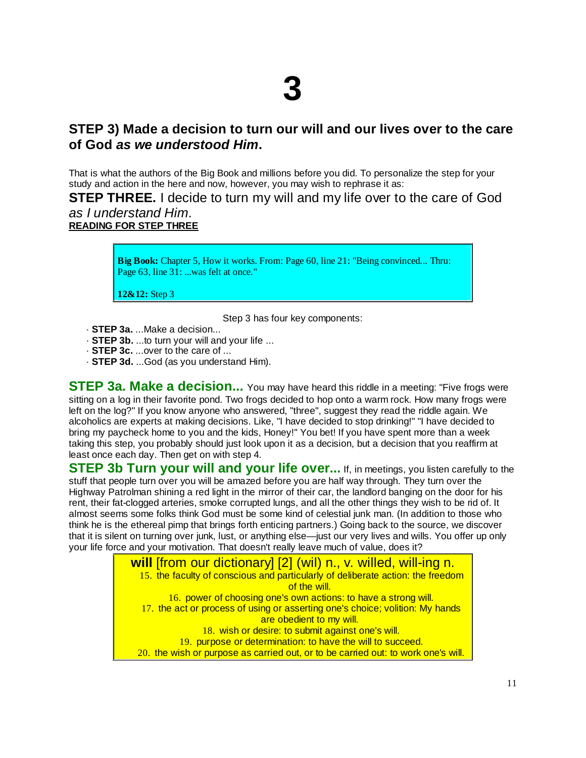## **3**

## **STEP 3) Made a decision to turn our will and our lives over to the care of God** *as we understood Him***.**

That is what the authors of the Big Book and millions before you did. To personalize the step for your study and action in the here and now, however, you may wish to rephrase it as:

**STEP THREE.** I decide to turn my will and my life over to the care of God *as I understand Him*. **READING FOR STEP THREE**

> **Big Book:** Chapter 5, How it works. From: Page 60, line 21: "Being convinced... Thru: Page 63, line 31: ...was felt at once."

**12&12:** Step 3

Step 3 has four key components:

- · **STEP 3a.** ...Make a decision...
- · **STEP 3b.** ...to turn your will and your life ...
- · **STEP 3c.** ...over to the care of ...
- · **STEP 3d.** ...God (as you understand Him).

**STEP 3a. Make a decision...** You may have heard this riddle in a meeting: "Five frogs were sitting on a log in their favorite pond. Two frogs decided to hop onto a warm rock. How many frogs were left on the log?" If you know anyone who answered, "three", suggest they read the riddle again. We alcoholics are experts at making decisions. Like, "I have decided to stop drinking!" "I have decided to bring my paycheck home to you and the kids, Honey!" You bet! If you have spent more than a week taking this step, you probably should just look upon it as a decision, but a decision that you reaffirm at least once each day. Then get on with step 4.

**STEP 3b Turn your will and your life over...** If, in meetings, you listen carefully to the stuff that people turn over you will be amazed before you are half way through. They turn over the Highway Patrolman shining a red light in the mirror of their car, the landlord banging on the door for his rent, their fat-clogged arteries, smoke corrupted lungs, and all the other things they wish to be rid of. It almost seems some folks think God must be some kind of celestial junk man. (In addition to those who think he is the ethereal pimp that brings forth enticing partners.) Going back to the source, we discover that it is silent on turning over junk, lust, or anything else—just our very lives and wills. You offer up only your life force and your motivation. That doesn't really leave much of value, does it?

> **will** [from our dictionary] [2] (wil) n., v. willed, will-ing n. 15. the faculty of conscious and particularly of deliberate action: the freedom of the will. 16. power of choosing one's own actions: to have a strong will. 17. the act or process of using or asserting one's choice; volition: My hands are obedient to my will. 18. wish or desire: to submit against one's will. 19. purpose or determination: to have the will to succeed. 20. the wish or purpose as carried out, or to be carried out: to work one's will.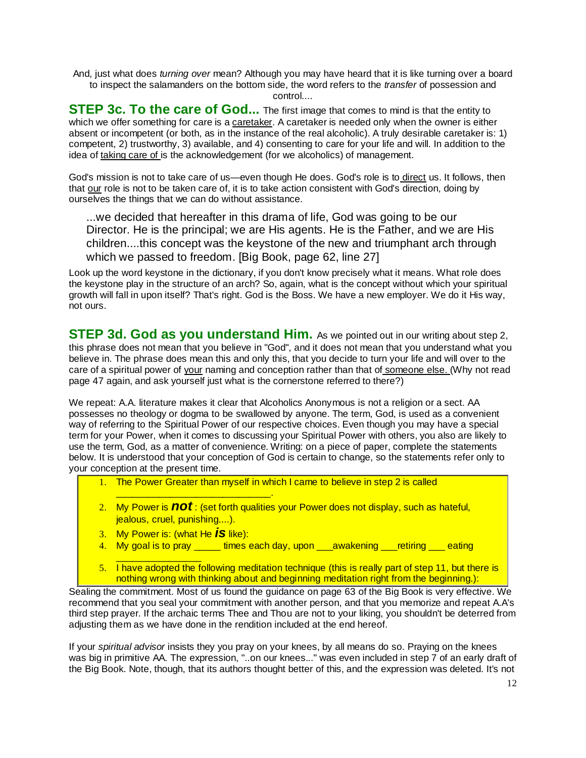And, just what does *turning over* mean? Although you may have heard that it is like turning over a board to inspect the salamanders on the bottom side, the word refers to the *transfer* of possession and control....

**STEP 3c. To the care of God...** The first image that comes to mind is that the entity to which we offer something for care is a caretaker. A caretaker is needed only when the owner is either absent or incompetent (or both, as in the instance of the real alcoholic). A truly desirable caretaker is: 1) competent, 2) trustworthy, 3) available, and 4) consenting to care for your life and will. In addition to the idea of taking care of is the acknowledgement (for we alcoholics) of management.

God's mission is not to take care of us—even though He does. God's role is to direct us. It follows, then that our role is not to be taken care of, it is to take action consistent with God's direction, doing by ourselves the things that we can do without assistance.

...we decided that hereafter in this drama of life, God was going to be our Director. He is the principal; we are His agents. He is the Father, and we are His children....this concept was the keystone of the new and triumphant arch through which we passed to freedom. [Big Book, page 62, line 27]

Look up the word keystone in the dictionary, if you don't know precisely what it means. What role does the keystone play in the structure of an arch? So, again, what is the concept without which your spiritual growth will fall in upon itself? That's right. God is the Boss. We have a new employer. We do it His way, not ours.

**STEP 3d. God as you understand Him.** As we pointed out in our writing about step 2, this phrase does not mean that you believe in "God", and it does not mean that you understand what you believe in. The phrase does mean this and only this, that you decide to turn your life and will over to the care of a spiritual power of your naming and conception rather than that of someone else. (Why not read page 47 again, and ask yourself just what is the cornerstone referred to there?)

We repeat: A.A. literature makes it clear that Alcoholics Anonymous is not a religion or a sect. AA possesses no theology or dogma to be swallowed by anyone. The term, God, is used as a convenient way of referring to the Spiritual Power of our respective choices. Even though you may have a special term for your Power, when it comes to discussing your Spiritual Power with others, you also are likely to use the term, God, as a matter of convenience. Writing: on a piece of paper, complete the statements below. It is understood that your conception of God is certain to change, so the statements refer only to your conception at the present time.

- 1. The Power Greater than myself in which I came to believe in step 2 is called \_\_\_\_\_\_\_\_\_\_\_\_\_\_\_\_\_\_\_\_\_\_\_\_\_\_\_\_\_.
- 2. My Power is *not* : (set forth qualities your Power does not display, such as hateful, jealous, cruel, punishing....).
- 3. My Power is: (what He *is* like):

\_\_\_\_\_\_\_\_\_\_\_\_\_\_\_\_

- 4. My goal is to pray times each day, upon awakening retiring eating
- 5. I have adopted the following meditation technique (this is really part of step 11, but there is nothing wrong with thinking about and beginning meditation right from the beginning.):

Sealing the commitment. Most of us found the guidance on page 63 of the Big Book is very effective. We recommend that you seal your commitment with another person, and that you memorize and repeat A.A's third step prayer. If the archaic terms Thee and Thou are not to your liking, you shouldn't be deterred from adjusting them as we have done in the rendition included at the end hereof.

If your *spiritual advisor* insists they you pray on your knees, by all means do so. Praying on the knees was big in primitive AA. The expression, "..on our knees..." was even included in step 7 of an early draft of the Big Book. Note, though, that its authors thought better of this, and the expression was deleted. It's not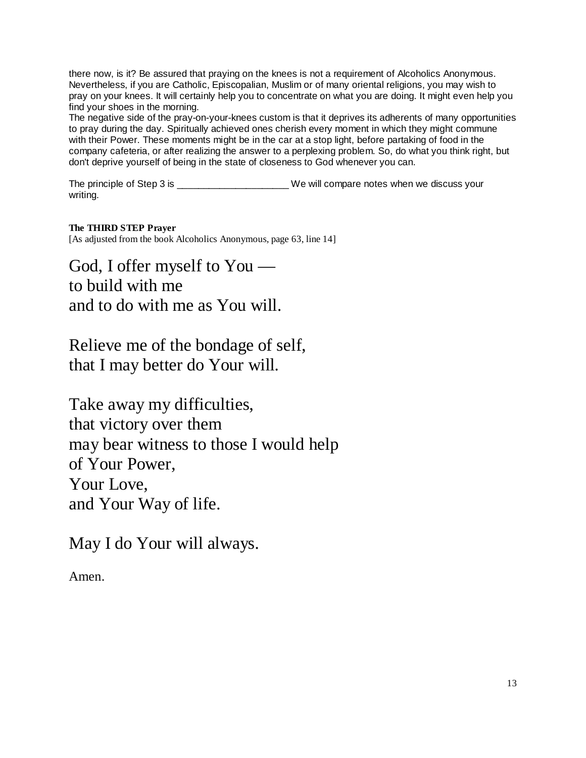there now, is it? Be assured that praying on the knees is not a requirement of Alcoholics Anonymous. Nevertheless, if you are Catholic, Episcopalian, Muslim or of many oriental religions, you may wish to pray on your knees. It will certainly help you to concentrate on what you are doing. It might even help you find your shoes in the morning.

The negative side of the pray-on-your-knees custom is that it deprives its adherents of many opportunities to pray during the day. Spiritually achieved ones cherish every moment in which they might commune with their Power. These moments might be in the car at a stop light, before partaking of food in the company cafeteria, or after realizing the answer to a perplexing problem. So, do what you think right, but don't deprive yourself of being in the state of closeness to God whenever you can.

The principle of Step 3 is  $\qquad \qquad$  We will compare notes when we discuss your writing.

**The THIRD STEP Prayer** [As adjusted from the book Alcoholics Anonymous, page 63, line 14]

God, I offer myself to You to build with me and to do with me as You will.

Relieve me of the bondage of self, that I may better do Your will.

Take away my difficulties, that victory over them may bear witness to those I would help of Your Power, Your Love, and Your Way of life.

May I do Your will always.

Amen.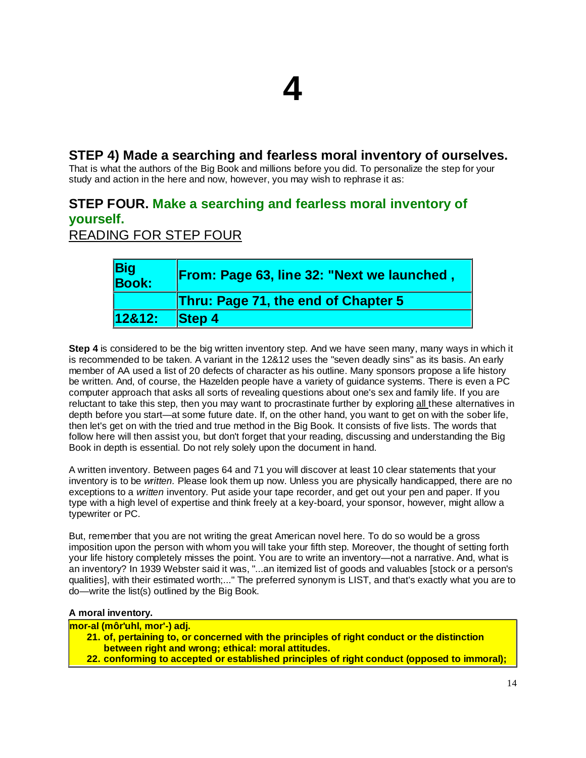## **STEP 4) Made a searching and fearless moral inventory of ourselves.**

That is what the authors of the Big Book and millions before you did. To personalize the step for your study and action in the here and now, however, you may wish to rephrase it as:

## **STEP FOUR. Make a searching and fearless moral inventory of yourself.**

READING FOR STEP FOUR

| <b>Big</b><br>$\overline{\mathsf{Book:}}$ | From: Page 63, line 32: "Next we launched, |  |
|-------------------------------------------|--------------------------------------------|--|
|                                           | <b>Thru: Page 71, the end of Chapter 5</b> |  |
| 12&12:                                    | $\left  \text{Step 4} \right $             |  |

**Step 4** is considered to be the big written inventory step. And we have seen many, many ways in which it is recommended to be taken. A variant in the 12&12 uses the "seven deadly sins" as its basis. An early member of AA used a list of 20 defects of character as his outline. Many sponsors propose a life history be written. And, of course, the Hazelden people have a variety of guidance systems. There is even a PC computer approach that asks all sorts of revealing questions about one's sex and family life. If you are reluctant to take this step, then you may want to procrastinate further by exploring all these alternatives in depth before you start—at some future date. If, on the other hand, you want to get on with the sober life, then let's get on with the tried and true method in the Big Book. It consists of five lists. The words that follow here will then assist you, but don't forget that your reading, discussing and understanding the Big Book in depth is essential. Do not rely solely upon the document in hand.

A written inventory. Between pages 64 and 71 you will discover at least 10 clear statements that your inventory is to be *written.* Please look them up now. Unless you are physically handicapped, there are no exceptions to a *written* inventory. Put aside your tape recorder, and get out your pen and paper. If you type with a high level of expertise and think freely at a key-board, your sponsor, however, might allow a typewriter or PC.

But, remember that you are not writing the great American novel here. To do so would be a gross imposition upon the person with whom you will take your fifth step. Moreover, the thought of setting forth your life history completely misses the point. You are to write an inventory—not a narrative. And, what is an inventory? In 1939 Webster said it was, "...an itemized list of goods and valuables [stock or a person's qualities], with their estimated worth;..." The preferred synonym is LIST, and that's exactly what you are to do—write the list(s) outlined by the Big Book.

#### **A moral inventory.**

**mor-al (môr'uhl, mor'-) adj.**

- **21. of, pertaining to, or concerned with the principles of right conduct or the distinction between right and wrong; ethical: moral attitudes.**
- **22. conforming to accepted or established principles of right conduct (opposed to immoral);**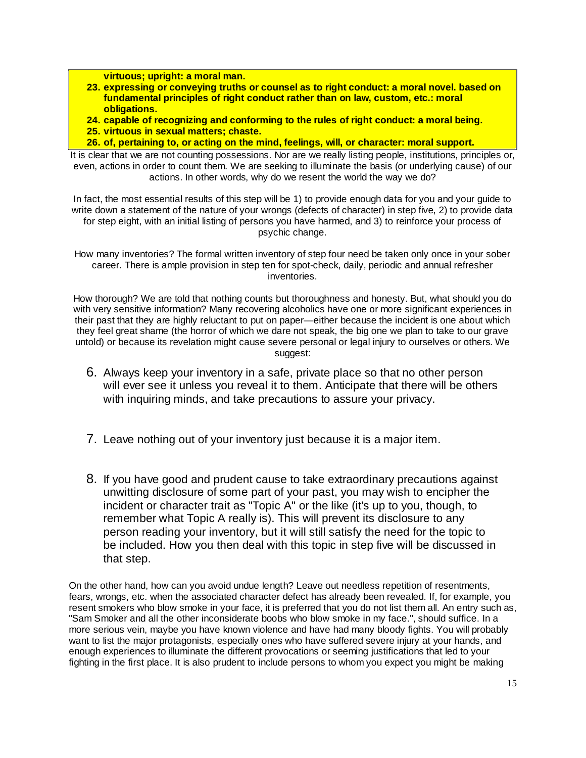**virtuous; upright: a moral man.**

- **23. expressing or conveying truths or counsel as to right conduct: a moral novel. based on fundamental principles of right conduct rather than on law, custom, etc.: moral obligations.**
- **24. capable of recognizing and conforming to the rules of right conduct: a moral being.**
- **25. virtuous in sexual matters; chaste.**
- **26. of, pertaining to, or acting on the mind, feelings, will, or character: moral support.**

It is clear that we are not counting possessions. Nor are we really listing people, institutions, principles or, even, actions in order to count them. We are seeking to illuminate the basis (or underlying cause) of our actions. In other words, why do we resent the world the way we do?

In fact, the most essential results of this step will be 1) to provide enough data for you and your guide to write down a statement of the nature of your wrongs (defects of character) in step five, 2) to provide data for step eight, with an initial listing of persons you have harmed, and 3) to reinforce your process of psychic change.

How many inventories? The formal written inventory of step four need be taken only once in your sober career. There is ample provision in step ten for spot-check, daily, periodic and annual refresher inventories.

How thorough? We are told that nothing counts but thoroughness and honesty. But, what should you do with very sensitive information? Many recovering alcoholics have one or more significant experiences in their past that they are highly reluctant to put on paper—either because the incident is one about which they feel great shame (the horror of which we dare not speak, the big one we plan to take to our grave untold) or because its revelation might cause severe personal or legal injury to ourselves or others. We suggest:

- 6. Always keep your inventory in a safe, private place so that no other person will ever see it unless you reveal it to them. Anticipate that there will be others with inquiring minds, and take precautions to assure your privacy.
- 7. Leave nothing out of your inventory just because it is a major item.
- 8. If you have good and prudent cause to take extraordinary precautions against unwitting disclosure of some part of your past, you may wish to encipher the incident or character trait as "Topic A" or the like (it's up to you, though, to remember what Topic A really is). This will prevent its disclosure to any person reading your inventory, but it will still satisfy the need for the topic to be included. How you then deal with this topic in step five will be discussed in that step.

On the other hand, how can you avoid undue length? Leave out needless repetition of resentments, fears, wrongs, etc. when the associated character defect has already been revealed. If, for example, you resent smokers who blow smoke in your face, it is preferred that you do not list them all. An entry such as, "Sam Smoker and all the other inconsiderate boobs who blow smoke in my face.", should suffice. In a more serious vein, maybe you have known violence and have had many bloody fights. You will probably want to list the major protagonists, especially ones who have suffered severe injury at your hands, and enough experiences to illuminate the different provocations or seeming justifications that led to your fighting in the first place. It is also prudent to include persons to whom you expect you might be making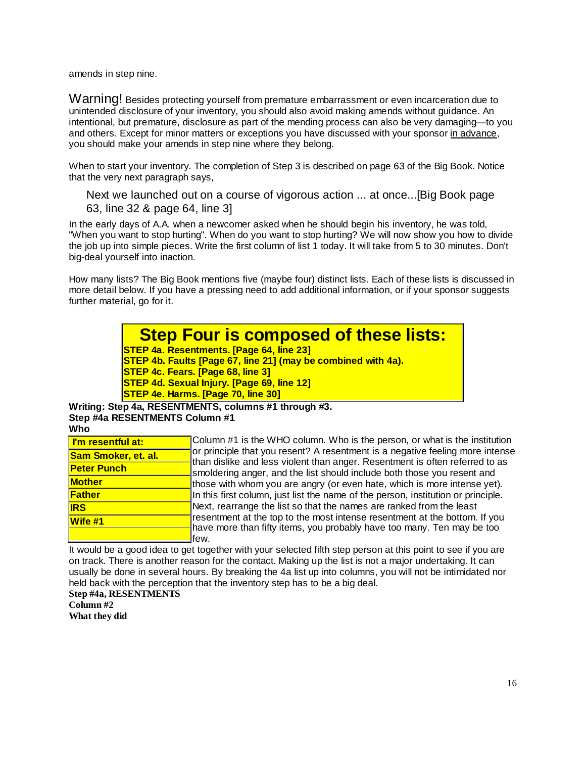amends in step nine.

Warning! Besides protecting yourself from premature embarrassment or even incarceration due to unintended disclosure of your inventory, you should also avoid making amends without guidance. An intentional, but premature, disclosure as part of the mending process can also be very damaging—to you and others. Except for minor matters or exceptions you have discussed with your sponsor in advance, you should make your amends in step nine where they belong.

When to start your inventory. The completion of Step 3 is described on page 63 of the Big Book. Notice that the very next paragraph says,

Next we launched out on a course of vigorous action ... at once...[Big Book page 63, line 32 & page 64, line 3]

In the early days of A.A. when a newcomer asked when he should begin his inventory, he was told, "When you want to stop hurting". When do you want to stop hurting? We will now show you how to divide the job up into simple pieces. Write the first column of list 1 today. It will take from 5 to 30 minutes. Don't big-deal yourself into inaction.

How many lists? The Big Book mentions five (maybe four) distinct lists. Each of these lists is discussed in more detail below. If you have a pressing need to add additional information, or if your sponsor suggests further material, go for it.

## **Step Four is composed of these lists:**

**STEP 4a. Resentments. [Page 64, line 23]**

**STEP 4b. Faults [Page 67, line 21] (may be combined with 4a).**

**STEP 4c. Fears. [Page 68, line 3]**

**STEP 4d. Sexual Injury. [Page 69, line 12]**

**STEP 4e. Harms. [Page 70, line 30]**

**Writing: Step 4a, RESENTMENTS, columns #1 through #3. Step #4a RESENTMENTS Column #1**

**Who**

| I'm resentful at:          | Column #1 is the WHO column. Who is the person, or what is the institution                                                                              |
|----------------------------|---------------------------------------------------------------------------------------------------------------------------------------------------------|
| <u>Sam Smoker, et. al.</u> | or principle that you resent? A resentment is a negative feeling more intense                                                                           |
| <b>Peter Punch</b>         | than dislike and less violent than anger. Resentment is often referred to as<br>smoldering anger, and the list should include both those you resent and |
| <b>Mother</b>              | those with whom you are angry (or even hate, which is more intense yet).                                                                                |
| <b>Father</b>              | In this first column, just list the name of the person, institution or principle.                                                                       |
| <b>IRS</b>                 | Next, rearrange the list so that the names are ranked from the least                                                                                    |
| Wife #1                    | resentment at the top to the most intense resentment at the bottom. If you<br>have more than fifty items, you probably have too many. Ten may be too    |
|                            | lfew.                                                                                                                                                   |

It would be a good idea to get together with your selected fifth step person at this point to see if you are on track. There is another reason for the contact. Making up the list is not a major undertaking. It can usually be done in several hours. By breaking the 4a list up into columns, you will not be intimidated nor held back with the perception that the inventory step has to be a big deal.

**Step #4a, RESENTMENTS Column #2 What they did**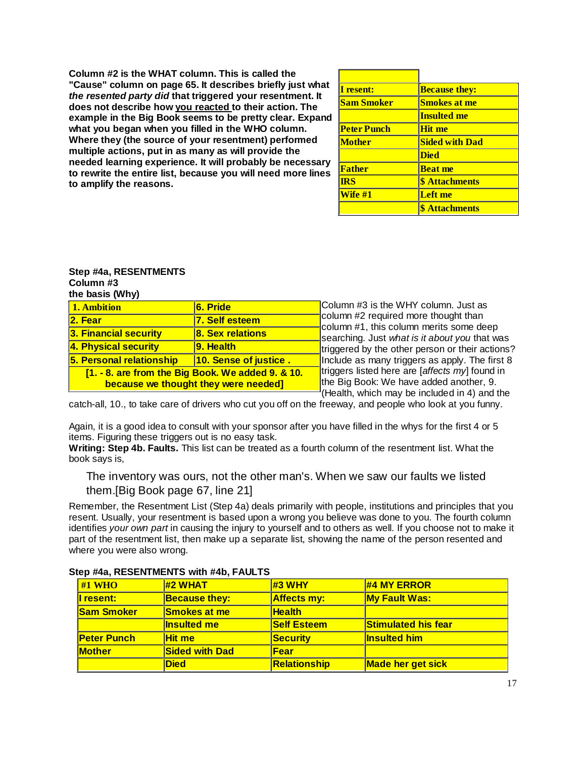**Column #2 is the WHAT column. This is called the "Cause" column on page 65. It describes briefly just what** *the resented party did* **that triggered your resentment. It does not describe how you reacted to their action. The example in the Big Book seems to be pretty clear. Expand what you began when you filled in the WHO column. Where they (the source of your resentment) performed multiple actions, put in as many as will provide the needed learning experience. It will probably be necessary to rewrite the entire list, because you will need more lines to amplify the reasons.**

| I resent:              | <b>Because they:</b>  |
|------------------------|-----------------------|
| <b>Sam Smoker</b>      | <b>Smokes at me</b>   |
|                        | <b>Insulted me</b>    |
| <b>Peter Punch</b>     | <b>Hit me</b>         |
| <b>Mother</b>          | <b>Sided with Dad</b> |
|                        | <b>Died</b>           |
| <b>Father</b>          | Beat me               |
| $\overline{\text{RS}}$ | <b>\$ Attachments</b> |
| Wife #1                | Left me               |
|                        | <b>\$ Attachments</b> |

#### **Step #4a, RESENTMENTS Column #3 the basis (Why)**

| 1. Ambition                          | <b>6. Pride</b>                                   | Column #3 is the WHY column. Just as                                            |
|--------------------------------------|---------------------------------------------------|---------------------------------------------------------------------------------|
| 2. Fear                              | 7. Self esteem                                    | column #2 required more thought than<br>column #1, this column merits some deep |
| 3. Financial security                | 8. Sex relations                                  | searching. Just what is it about you that was                                   |
| 4. Physical security                 | 9. Health                                         | triggered by the other person or their actions?                                 |
| 5. Personal relationship             | 10. Sense of justice.                             | Include as many triggers as apply. The first 8                                  |
|                                      | [1. - 8. are from the Big Book. We added 9. & 10. | triggers listed here are [affects my] found in                                  |
| because we thought they were needed] |                                                   | the Big Book: We have added another, 9.                                         |
|                                      |                                                   | (Health, which may be included in 4) and the                                    |

catch-all, 10., to take care of drivers who cut you off on the freeway, and people who look at you funny.

Again, it is a good idea to consult with your sponsor after you have filled in the whys for the first 4 or 5 items. Figuring these triggers out is no easy task.

**Writing: Step 4b. Faults.** This list can be treated as a fourth column of the resentment list. What the book says is,

The inventory was ours, not the other man's. When we saw our faults we listed them.[Big Book page 67, line 21]

Remember, the Resentment List (Step 4a) deals primarily with people, institutions and principles that you resent. Usually, your resentment is based upon a wrong you believe was done to you. The fourth column identifies *your own part* in causing the injury to yourself and to others as well. If you choose not to make it part of the resentment list, then make up a separate list, showing the name of the person resented and where you were also wrong.

| $H$ WHO            | #2 WHAT               | $#3$ WHY            | #4 MY ERROR                |
|--------------------|-----------------------|---------------------|----------------------------|
| <b>I</b> resent:   | <b>Because they:</b>  | <b>Affects my:</b>  | <b>My Fault Was:</b>       |
| <b>Sam Smoker</b>  | <b>Smokes at me</b>   | <b>Health</b>       |                            |
|                    | <b>Insulted me</b>    | <b>Self Esteem</b>  | <b>Stimulated his fear</b> |
| <b>Peter Punch</b> | <b>Hit me</b>         | <b>Security</b>     | <b>Insulted him</b>        |
| <b>Mother</b>      | <b>Sided with Dad</b> | <b>Fear</b>         |                            |
|                    | <b>Died</b>           | <b>Relationship</b> | <b>Made her get sick</b>   |

#### Step #4a, RESENTMENTS with #4b, FAULTS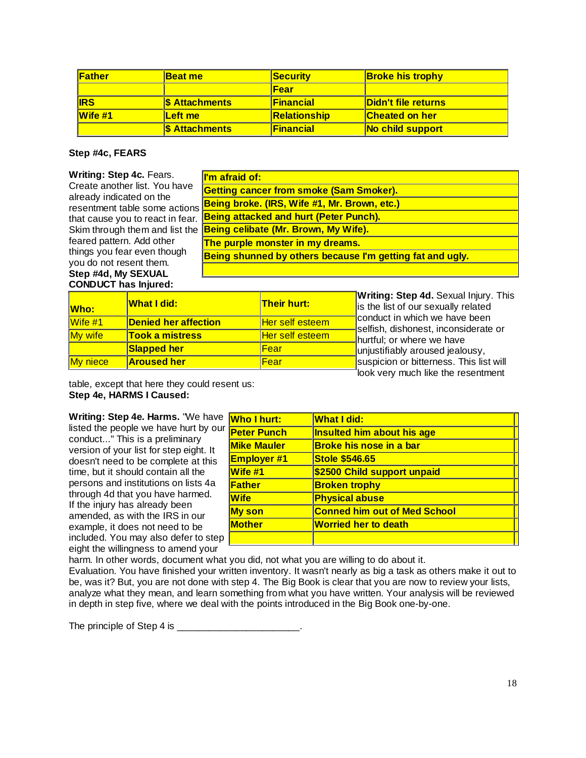| <b>Father</b>  | lBeat me        | <b>Security</b>     | <b>Broke his trophy</b> |
|----------------|-----------------|---------------------|-------------------------|
|                |                 | <u>lFear</u>        |                         |
| <b>IRS</b>     | l\$ Attachments | <b>Financial</b>    | Didn't file returns     |
| <b>Wife #1</b> | Left me         | <b>Relationship</b> | <b>Cheated on her</b>   |
|                | l\$ Attachments | <b>IFinancial</b>   | No child support        |

#### **Step #4c, FEARS**

**Writing: Step 4c.** Fears. Create another list. You have already indicated on the resentment table some actions **B** that cause you to react in fear.  $\vert$ B Skim through them and list the  $\mathbf B$ feared pattern. Add other things you fear even though you do not resent them. **Step #4d, My SEXUAL CONDUCT has Injured:**

| I'm afraid of:                                            |
|-----------------------------------------------------------|
| <u>Getting cancer from smoke (Sam Smoker).</u>            |
| Being broke. (IRS, Wife #1, Mr. Brown, etc.)              |
| <b>Being attacked and hurt (Peter Punch).</b>             |
| Being celibate (Mr. Brown, My Wife).                      |
| The purple monster in my dreams.                          |
| Being shunned by others because I'm getting fat and ugly. |
|                                                           |
|                                                           |

| Who:       | <u> What I did:</u>    | <b>Their hurt:</b>     | <b>Writing: Step 4d.</b> Sexual Injury. This<br>is the list of our sexually related |
|------------|------------------------|------------------------|-------------------------------------------------------------------------------------|
| $W$ ife #1 | Denied her affection   | <b>Her self esteem</b> | conduct in which we have been<br>selfish, dishonest, inconsiderate or               |
| My wife    | <b>Took a mistress</b> | Her self esteem        | hurtful; or where we have                                                           |
|            | <b>Slapped her</b>     | Fear                   | unjustifiably aroused jealousy,                                                     |
| My niece   | <b>Aroused her</b>     | Fear                   | suspicion or bitterness. This list will                                             |
|            |                        |                        | look very much like the resentment                                                  |

table, except that here they could resent us: **Step 4e, HARMS I Caused:**

**Writing: Step 4e. Harms.** "We have listed the people we have hurt by our conduct..." This is a preliminary version of your list for step eight. It doesn't need to be complete at this time, but it should contain all the persons and institutions on lists 4a through 4d that you have harmed. If the injury has already been amended, as with the IRS in our example, it does not need to be included. You may also defer to step eight the willingness to amend your

| <b>Who I hurt:</b> | <b>What I did:</b>                  |  |  |
|--------------------|-------------------------------------|--|--|
| <b>Peter Punch</b> | Insulted him about his age          |  |  |
| <b>Mike Mauler</b> | <b>Broke his nose in a bar</b>      |  |  |
| <b>Employer #1</b> | <b>Stole \$546.65</b>               |  |  |
| Wife $#1$          | \$2500 Child support unpaid         |  |  |
| <b>Father</b>      | <b>Broken trophy</b>                |  |  |
| <b>Wife</b>        | <b>Physical abuse</b>               |  |  |
| <b>My son</b>      | <b>Conned him out of Med School</b> |  |  |
| <b>Mother</b>      | <b>Worried her to death</b>         |  |  |
|                    |                                     |  |  |

harm. In other words, document what you did, not what you are willing to do about it.

Evaluation. You have finished your written inventory. It wasn't nearly as big a task as others make it out to be, was it? But, you are not done with step 4. The Big Book is clear that you are now to review your lists, analyze what they mean, and learn something from what you have written. Your analysis will be reviewed in depth in step five, where we deal with the points introduced in the Big Book one-by-one.

The principle of Step 4 is \_\_\_\_\_\_\_\_\_\_\_\_\_\_\_\_\_\_\_\_\_\_\_.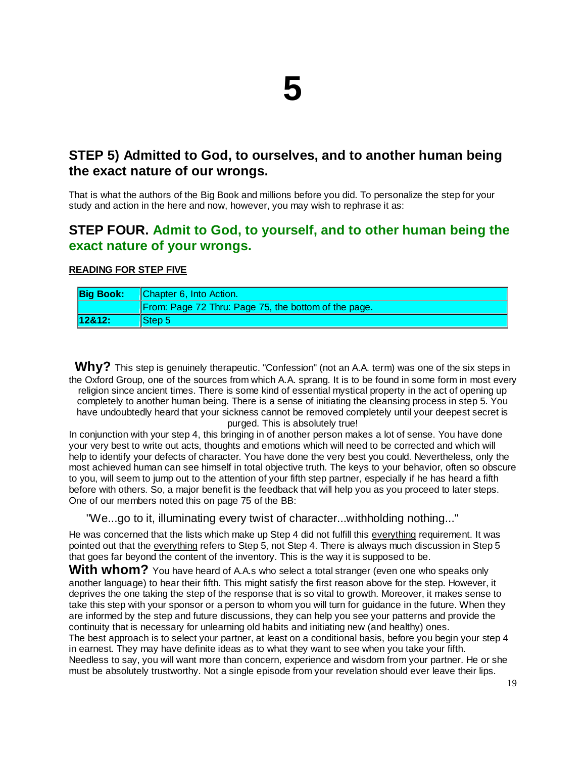## **STEP 5) Admitted to God, to ourselves, and to another human being the exact nature of our wrongs.**

That is what the authors of the Big Book and millions before you did. To personalize the step for your study and action in the here and now, however, you may wish to rephrase it as:

## **STEP FOUR. Admit to God, to yourself, and to other human being the exact nature of your wrongs.**

#### **READING FOR STEP FIVE**

| <b>Big Book:</b> | Chapter 6, Into Action.                              |  |
|------------------|------------------------------------------------------|--|
|                  | From: Page 72 Thru: Page 75, the bottom of the page. |  |
| 12&12:           | <b>IStep 5</b>                                       |  |

Why? This step is genuinely therapeutic. "Confession" (not an A.A. term) was one of the six steps in the Oxford Group, one of the sources from which A.A. sprang. It is to be found in some form in most every religion since ancient times. There is some kind of essential mystical property in the act of opening up completely to another human being. There is a sense of initiating the cleansing process in step 5. You have undoubtedly heard that your sickness cannot be removed completely until your deepest secret is purged. This is absolutely true!

In conjunction with your step 4, this bringing in of another person makes a lot of sense. You have done your very best to write out acts, thoughts and emotions which will need to be corrected and which will help to identify your defects of character. You have done the very best you could. Nevertheless, only the most achieved human can see himself in total objective truth. The keys to your behavior, often so obscure to you, will seem to jump out to the attention of your fifth step partner, especially if he has heard a fifth before with others. So, a major benefit is the feedback that will help you as you proceed to later steps. One of our members noted this on page 75 of the BB:

"We...go to it, illuminating every twist of character...withholding nothing..."

He was concerned that the lists which make up Step 4 did not fulfill this everything requirement. It was pointed out that the everything refers to Step 5, not Step 4. There is always much discussion in Step 5 that goes far beyond the content of the inventory. This is the way it is supposed to be.

With whom? You have heard of A.A.s who select a total stranger (even one who speaks only another language) to hear their fifth. This might satisfy the first reason above for the step. However, it deprives the one taking the step of the response that is so vital to growth. Moreover, it makes sense to take this step with your sponsor or a person to whom you will turn for guidance in the future. When they are informed by the step and future discussions, they can help you see your patterns and provide the continuity that is necessary for unlearning old habits and initiating new (and healthy) ones. The best approach is to select your partner, at least on a conditional basis, before you begin your step 4 in earnest. They may have definite ideas as to what they want to see when you take your fifth. Needless to say, you will want more than concern, experience and wisdom from your partner. He or she must be absolutely trustworthy. Not a single episode from your revelation should ever leave their lips.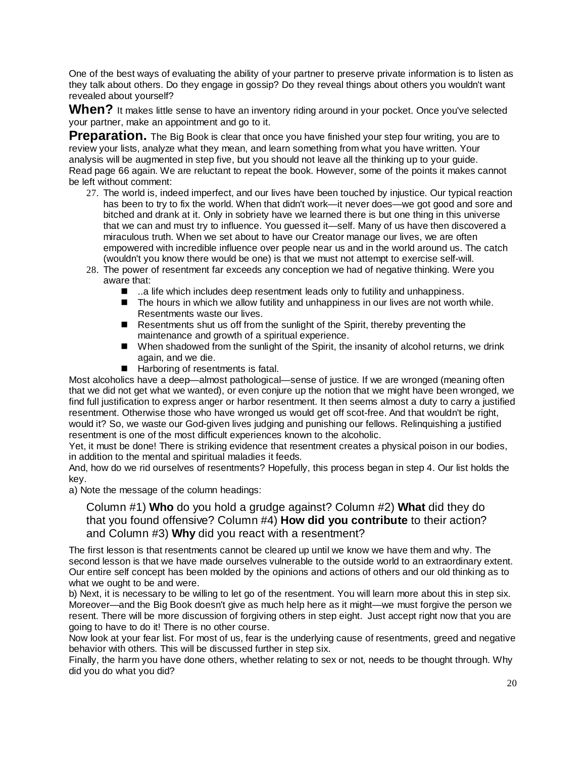One of the best ways of evaluating the ability of your partner to preserve private information is to listen as they talk about others. Do they engage in gossip? Do they reveal things about others you wouldn't want revealed about yourself?

When? It makes little sense to have an inventory riding around in your pocket. Once you've selected your partner, make an appointment and go to it.

**Preparation.** The Big Book is clear that once you have finished your step four writing, you are to review your lists, analyze what they mean, and learn something from what you have written. Your analysis will be augmented in step five, but you should not leave all the thinking up to your guide. Read page 66 again. We are reluctant to repeat the book. However, some of the points it makes cannot be left without comment:

- 27. The world is, indeed imperfect, and our lives have been touched by injustice. Our typical reaction has been to try to fix the world. When that didn't work—it never does—we got good and sore and bitched and drank at it. Only in sobriety have we learned there is but one thing in this universe that we can and must try to influence. You guessed it—self. Many of us have then discovered a miraculous truth. When we set about to have our Creator manage our lives, we are often empowered with incredible influence over people near us and in the world around us. The catch (wouldn't you know there would be one) is that we must not attempt to exercise self-will.
- 28. The power of resentment far exceeds any conception we had of negative thinking. Were you aware that:
	- ..a life which includes deep resentment leads only to futility and unhappiness.
	- The hours in which we allow futility and unhappiness in our lives are not worth while. Resentments waste our lives.
	- Resentments shut us off from the sunlight of the Spirit, thereby preventing the maintenance and growth of a spiritual experience.
	- When shadowed from the sunlight of the Spirit, the insanity of alcohol returns, we drink again, and we die.
	- Harboring of resentments is fatal.

Most alcoholics have a deep—almost pathological—sense of justice. If we are wronged (meaning often that we did not get what we wanted), or even conjure up the notion that we might have been wronged, we find full justification to express anger or harbor resentment. It then seems almost a duty to carry a justified resentment. Otherwise those who have wronged us would get off scot-free. And that wouldn't be right, would it? So, we waste our God-given lives judging and punishing our fellows. Relinquishing a justified resentment is one of the most difficult experiences known to the alcoholic.

Yet, it must be done! There is striking evidence that resentment creates a physical poison in our bodies, in addition to the mental and spiritual maladies it feeds.

And, how do we rid ourselves of resentments? Hopefully, this process began in step 4. Our list holds the key.

a) Note the message of the column headings:

### Column #1) **Who** do you hold a grudge against? Column #2) **What** did they do that you found offensive? Column #4) **How did you contribute** to their action? and Column #3) **Why** did you react with a resentment?

The first lesson is that resentments cannot be cleared up until we know we have them and why. The second lesson is that we have made ourselves vulnerable to the outside world to an extraordinary extent. Our entire self concept has been molded by the opinions and actions of others and our old thinking as to what we ought to be and were.

b) Next, it is necessary to be willing to let go of the resentment. You will learn more about this in step six. Moreover—and the Big Book doesn't give as much help here as it might—we must forgive the person we resent. There will be more discussion of forgiving others in step eight. Just accept right now that you are going to have to do it! There is no other course.

Now look at your fear list. For most of us, fear is the underlying cause of resentments, greed and negative behavior with others. This will be discussed further in step six.

Finally, the harm you have done others, whether relating to sex or not, needs to be thought through. Why did you do what you did?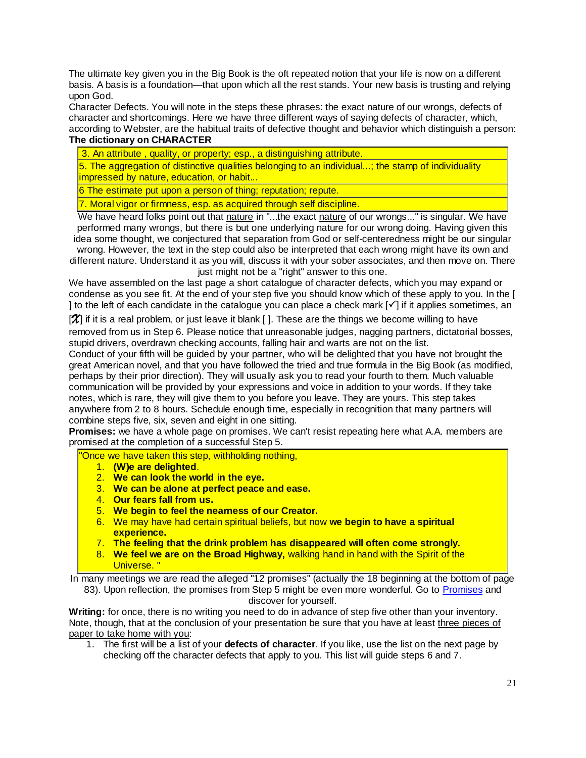The ultimate key given you in the Big Book is the oft repeated notion that your life is now on a different basis. A basis is a foundation—that upon which all the rest stands. Your new basis is trusting and relying upon God.

Character Defects. You will note in the steps these phrases: the exact nature of our wrongs, defects of character and shortcomings. Here we have three different ways of saying defects of character, which, according to Webster, are the habitual traits of defective thought and behavior which distinguish a person: **The dictionary on CHARACTER**

3. An attribute , quality, or property; esp., a distinguishing attribute.

5. The aggregation of distinctive qualities belonging to an individual...; the stamp of individuality impressed by nature, education, or habit...

6 The estimate put upon a person of thing; reputation; repute.

7. Moral vigor or firmness, esp. as acquired through self discipline.

We have heard folks point out that nature in "...the exact nature of our wrongs..." is singular. We have performed many wrongs, but there is but one underlying nature for our wrong doing. Having given this idea some thought, we conjectured that separation from God or self-centeredness might be our singular

wrong. However, the text in the step could also be interpreted that each wrong might have its own and different nature. Understand it as you will, discuss it with your sober associates, and then move on. There just might not be a "right" answer to this one.

We have assembled on the last page a short catalogue of character defects, which you may expand or condense as you see fit. At the end of your step five you should know which of these apply to you. In the [ ] to the left of each candidate in the catalogue you can place a check mark  $[\checkmark]$  if it applies sometimes, an

[*X*] if it is a real problem, or just leave it blank [ ]. These are the things we become willing to have removed from us in Step 6. Please notice that unreasonable judges, nagging partners, dictatorial bosses, stupid drivers, overdrawn checking accounts, falling hair and warts are not on the list.

Conduct of your fifth will be guided by your partner, who will be delighted that you have not brought the great American novel, and that you have followed the tried and true formula in the Big Book (as modified, perhaps by their prior direction). They will usually ask you to read your fourth to them. Much valuable communication will be provided by your expressions and voice in addition to your words. If they take notes, which is rare, they will give them to you before you leave. They are yours. This step takes anywhere from 2 to 8 hours. Schedule enough time, especially in recognition that many partners will combine steps five, six, seven and eight in one sitting.

**Promises:** we have a whole page on promises. We can't resist repeating here what A.A. members are promised at the completion of a successful Step 5.

Once we have taken this step, withholding nothing,

- 1. **(W)e are delighted**.
- 2. **We can look the world in the eye.**
- 3. **We can be alone at perfect peace and ease.**
- 4. **Our fears fall from us.**
- 5. **We begin to feel the nearness of our Creator.**
- 6. We may have had certain spiritual beliefs, but now **we begin to have a spiritual experience.**
- 7. **The feeling that the drink problem has disappeared will often come strongly.**
- 8. **We feel we are on the Broad Highway,** walking hand in hand with the Spirit of the Universe. "

In many meetings we are read the alleged "12 promises" (actually the 18 beginning at the bottom of page

83). Upon reflection, the promises from Step 5 might be even more wonderful. Go to Promises and discover for yourself.

**Writing:** for once, there is no writing you need to do in advance of step five other than your inventory. Note, though, that at the conclusion of your presentation be sure that you have at least three pieces of paper to take home with you:

1. The first will be a list of your **defects of character**. If you like, use the list on the next page by checking off the character defects that apply to you. This list will guide steps 6 and 7.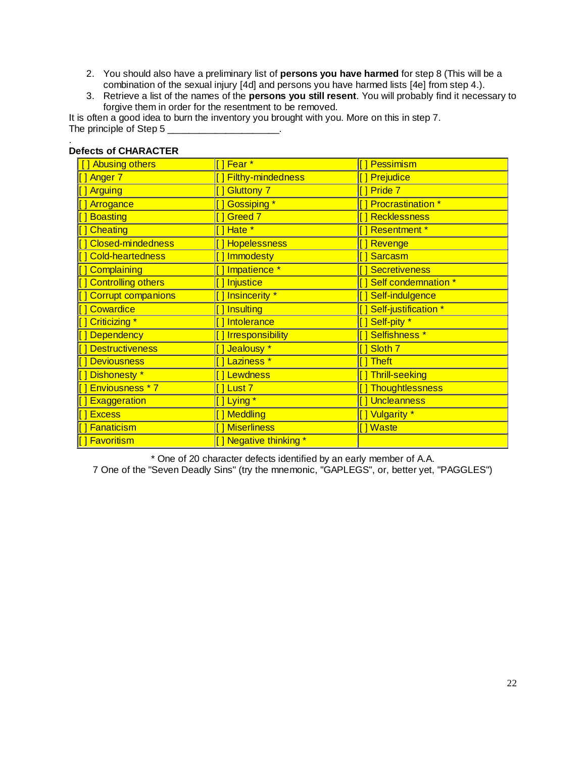- 2. You should also have a preliminary list of **persons you have harmed** for step 8 (This will be a combination of the sexual injury [4d] and persons you have harmed lists [4e] from step 4.).
- 3. Retrieve a list of the names of the **persons you still resent**. You will probably find it necessary to forgive them in order for the resentment to be removed.

It is often a good idea to burn the inventory you brought with you. More on this in step 7. The principle of Step 5

| [] Abusing others     | [ <mark>[] Fear *</mark> | [] Pessimism                  |
|-----------------------|--------------------------|-------------------------------|
| [ ] Anger 7           | [ ] Filthy-mindedness    | [] Prejudice                  |
| [ ] Arguing           | [] Gluttony 7            | $\lceil \cdot \rceil$ Pride 7 |
| [ ] Arrogance         | [] Gossiping *           | [] Procrastination *          |
| [] Boasting           | [] Greed 7               | [] Recklessness               |
| [] Cheating           | [ ] Hate *               | [] Resentment *               |
| [] Closed-mindedness  | [] Hopelessness          | [] Revenge                    |
| [] Cold-heartedness   | [] Immodesty             | [] Sarcasm                    |
| [] Complaining        | [] Impatience *          | [] Secretiveness              |
| [] Controlling others | [] Injustice             | [] Self condemnation *        |
| [] Corrupt companions | [] Insincerity *         | [] Self-indulgence            |
| [] Cowardice          | [ ] Insulting            | [] Self-justification *       |
| [] Criticizing *      | [] Intolerance           | [] Self-pity *                |
| [] Dependency         | [] Irresponsibility      | [] Selfishness *              |
| [] Destructiveness    | [] Jealousy *            | [] Sloth 7                    |
| [] Deviousness        | [] Laziness *            | $[ ]$ Theft                   |
| [] Dishonesty *       | [] Lewdness              | [] Thrill-seeking             |
| [] Enviousness * 7    | $\vert$   Lust 7         | [] Thoughtlessness            |
| [] Exaggeration       | [ ] Lying *              | [] Uncleanness                |
| [ ] Excess            | [ ] Meddling             | [] Vulgarity *                |
| [] Fanaticism         | [ ] Miserliness          | [] Waste                      |
| [ ] Favoritism        | [] Negative thinking *   |                               |

#### . **Defects of CHARACTER**

\* One of 20 character defects identified by an early member of A.A. 7 One of the "Seven Deadly Sins" (try the mnemonic, "GAPLEGS", or, better yet, "PAGGLES")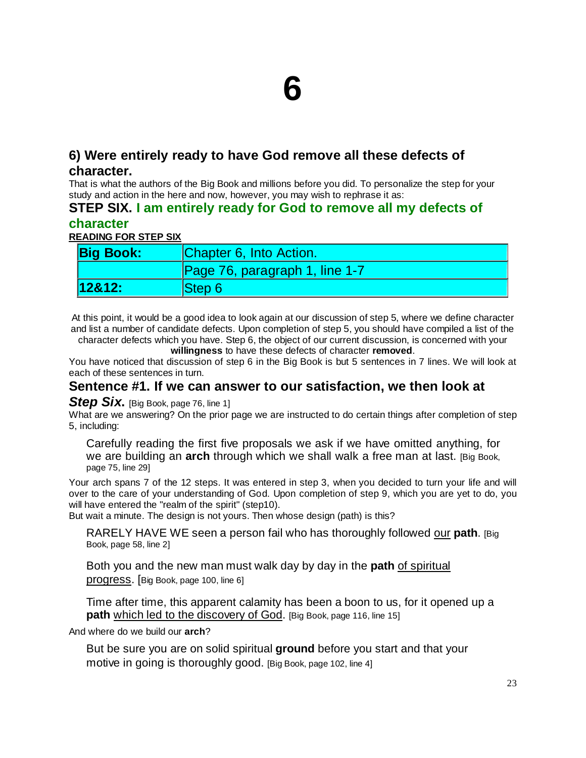## **6) Were entirely ready to have God remove all these defects of character.**

That is what the authors of the Big Book and millions before you did. To personalize the step for your study and action in the here and now, however, you may wish to rephrase it as:

## **STEP SIX. I am entirely ready for God to remove all my defects of**

#### **character**

**READING FOR STEP SIX**

| <b>Big Book:</b> | Chapter 6, Into Action.        |  |
|------------------|--------------------------------|--|
|                  | Page 76, paragraph 1, line 1-7 |  |
| 12812:           | Step 6                         |  |

At this point, it would be a good idea to look again at our discussion of step 5, where we define character and list a number of candidate defects. Upon completion of step 5, you should have compiled a list of the character defects which you have. Step 6, the object of our current discussion, is concerned with your

**willingness** to have these defects of character **removed**.

You have noticed that discussion of step 6 in the Big Book is but 5 sentences in 7 lines. We will look at each of these sentences in turn.

## **Sentence #1. If we can answer to our satisfaction, we then look at**

*Step Six.* [Big Book, page 76, line 1]

What are we answering? On the prior page we are instructed to do certain things after completion of step 5, including:

Carefully reading the first five proposals we ask if we have omitted anything, for we are building an **arch** through which we shall walk a free man at last. [Big Book, page 75, line 29]

Your arch spans 7 of the 12 steps. It was entered in step 3, when you decided to turn your life and will over to the care of your understanding of God. Upon completion of step 9, which you are yet to do, you will have entered the "realm of the spirit" (step10).

But wait a minute. The design is not yours. Then whose design (path) is this?

RARELY HAVE WE seen a person fail who has thoroughly followed our **path**. [Big Book, page 58, line 2]

Both you and the new man must walk day by day in the **path** of spiritual progress. [Big Book, page 100, line 6]

Time after time, this apparent calamity has been a boon to us, for it opened up a **path** which led to the discovery of God. [Big Book, page 116, line 15]

And where do we build our **arch**?

But be sure you are on solid spiritual **ground** before you start and that your motive in going is thoroughly good. [Big Book, page 102, line 4]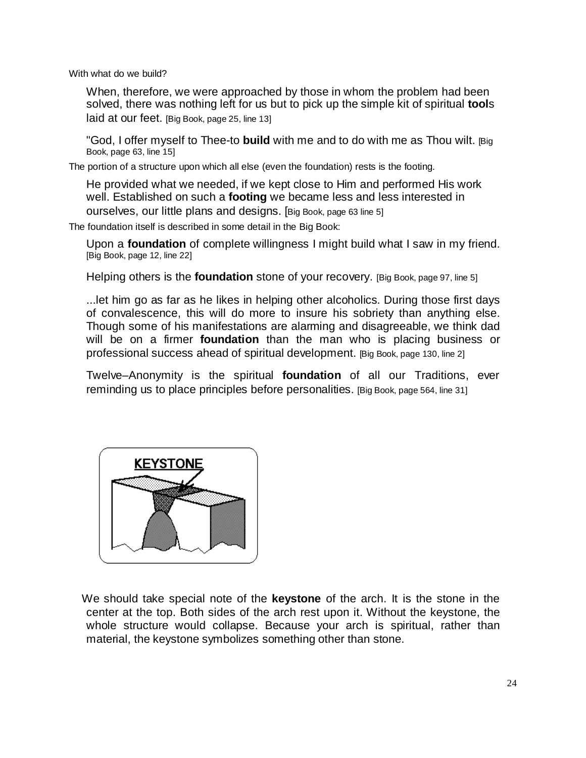With what do we build?

When, therefore, we were approached by those in whom the problem had been solved, there was nothing left for us but to pick up the simple kit of spiritual **tool**s laid at our feet. [Big Book, page 25, line 13]

"God, I offer myself to Thee-to **build** with me and to do with me as Thou wilt. [Big Book, page 63, line 15]

The portion of a structure upon which all else (even the foundation) rests is the footing.

He provided what we needed, if we kept close to Him and performed His work well. Established on such a **footing** we became less and less interested in ourselves, our little plans and designs. [Big Book, page 63 line 5]

The foundation itself is described in some detail in the Big Book:

Upon a **foundation** of complete willingness I might build what I saw in my friend. [Big Book, page 12, line 22]

Helping others is the **foundation** stone of your recovery. [Big Book, page 97, line 5]

...let him go as far as he likes in helping other alcoholics. During those first days of convalescence, this will do more to insure his sobriety than anything else. Though some of his manifestations are alarming and disagreeable, we think dad will be on a firmer **foundation** than the man who is placing business or professional success ahead of spiritual development. [Big Book, page 130, line 2]

Twelve–Anonymity is the spiritual **foundation** of all our Traditions, ever reminding us to place principles before personalities. [Big Book, page 564, line 31]



We should take special note of the **keystone** of the arch. It is the stone in the center at the top. Both sides of the arch rest upon it. Without the keystone, the whole structure would collapse. Because your arch is spiritual, rather than material, the keystone symbolizes something other than stone.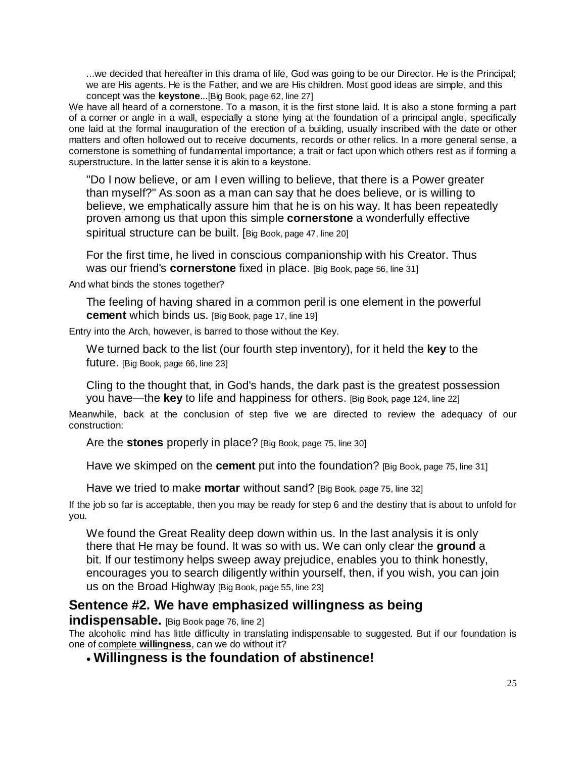...we decided that hereafter in this drama of life, God was going to be our Director. He is the Principal; we are His agents. He is the Father, and we are His children. Most good ideas are simple, and this concept was the **keystone**...[Big Book, page 62, line 27]

We have all heard of a cornerstone. To a mason, it is the first stone laid. It is also a stone forming a part of a corner or angle in a wall, especially a stone lying at the foundation of a principal angle, specifically one laid at the formal inauguration of the erection of a building, usually inscribed with the date or other matters and often hollowed out to receive documents, records or other relics. In a more general sense, a cornerstone is something of fundamental importance; a trait or fact upon which others rest as if forming a superstructure. In the latter sense it is akin to a keystone.

"Do I now believe, or am I even willing to believe, that there is a Power greater than myself?" As soon as a man can say that he does believe, or is willing to believe, we emphatically assure him that he is on his way. It has been repeatedly proven among us that upon this simple **cornerstone** a wonderfully effective spiritual structure can be built. [Big Book, page 47, line 20]

For the first time, he lived in conscious companionship with his Creator. Thus was our friend's **cornerstone** fixed in place. [Big Book, page 56, line 31]

And what binds the stones together?

The feeling of having shared in a common peril is one element in the powerful **cement** which binds us. [Big Book, page 17, line 19]

Entry into the Arch, however, is barred to those without the Key.

We turned back to the list (our fourth step inventory), for it held the **key** to the future. [Big Book, page 66, line 23]

Cling to the thought that, in God's hands, the dark past is the greatest possession you have—the **key** to life and happiness for others. [Big Book, page 124, line 22]

Meanwhile, back at the conclusion of step five we are directed to review the adequacy of our construction:

Are the **stones** properly in place? [Big Book, page 75, line 30]

Have we skimped on the **cement** put into the foundation? [Big Book, page 75, line 31]

Have we tried to make **mortar** without sand? [Big Book, page 75, line 32]

If the job so far is acceptable, then you may be ready for step 6 and the destiny that is about to unfold for you.

We found the Great Reality deep down within us. In the last analysis it is only there that He may be found. It was so with us. We can only clear the **ground** a bit. If our testimony helps sweep away prejudice, enables you to think honestly, encourages you to search diligently within yourself, then, if you wish, you can join us on the Broad Highway [Big Book, page 55, line 23]

## **Sentence #2. We have emphasized willingness as being**

**indispensable.** [Big Book page 76, line 2]

The alcoholic mind has little difficulty in translating indispensable to suggested. But if our foundation is one of complete **willingness**, can we do without it?

## **Willingness is the foundation of abstinence!**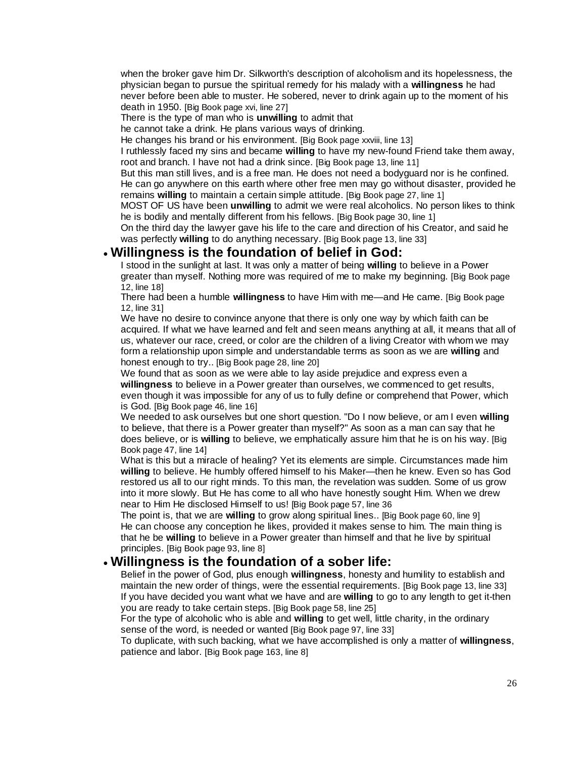when the broker gave him Dr. Silkworth's description of alcoholism and its hopelessness, the physician began to pursue the spiritual remedy for his malady with a **willingness** he had never before been able to muster. He sobered, never to drink again up to the moment of his death in 1950. [Big Book page xvi, line 27]

There is the type of man who is **unwilling** to admit that

he cannot take a drink. He plans various ways of drinking.

He changes his brand or his environment. [Big Book page xxviii, line 13]

I ruthlessly faced my sins and became **willing** to have my new-found Friend take them away, root and branch. I have not had a drink since. [Big Book page 13, line 11]

But this man still lives, and is a free man. He does not need a bodyguard nor is he confined. He can go anywhere on this earth where other free men may go without disaster, provided he remains **willing** to maintain a certain simple attitude. [Big Book page 27, line 1]

MOST OF US have been **unwilling** to admit we were real alcoholics. No person likes to think he is bodily and mentally different from his fellows. [Big Book page 30, line 1]

On the third day the lawyer gave his life to the care and direction of his Creator, and said he was perfectly **willing** to do anything necessary. [Big Book page 13, line 33]

### **Willingness is the foundation of belief in God:**

I stood in the sunlight at last. It was only a matter of being **willing** to believe in a Power greater than myself. Nothing more was required of me to make my beginning. [Big Book page 12, line 18]

There had been a humble **willingness** to have Him with me—and He came. [Big Book page 12, line 31]

We have no desire to convince anyone that there is only one way by which faith can be acquired. If what we have learned and felt and seen means anything at all, it means that all of us, whatever our race, creed, or color are the children of a living Creator with whom we may form a relationship upon simple and understandable terms as soon as we are **willing** and honest enough to try.. [Big Book page 28, line 20]

We found that as soon as we were able to lay aside prejudice and express even a **willingness** to believe in a Power greater than ourselves, we commenced to get results, even though it was impossible for any of us to fully define or comprehend that Power, which is God. [Big Book page 46, line 16]

We needed to ask ourselves but one short question. "Do I now believe, or am I even **willing** to believe, that there is a Power greater than myself?" As soon as a man can say that he does believe, or is **willing** to believe, we emphatically assure him that he is on his way. [Big Book page 47, line 14]

What is this but a miracle of healing? Yet its elements are simple. Circumstances made him **willing** to believe. He humbly offered himself to his Maker—then he knew. Even so has God restored us all to our right minds. To this man, the revelation was sudden. Some of us grow into it more slowly. But He has come to all who have honestly sought Him. When we drew near to Him He disclosed Himself to us! [Big Book page 57, line 36

The point is, that we are **willing** to grow along spiritual lines.. [Big Book page 60, line 9] He can choose any conception he likes, provided it makes sense to him. The main thing is that he be **willing** to believe in a Power greater than himself and that he live by spiritual principles. [Big Book page 93, line 8]

## **Willingness is the foundation of a sober life:**

Belief in the power of God, plus enough **willingness**, honesty and humility to establish and maintain the new order of things, were the essential requirements. [Big Book page 13, line 33] If you have decided you want what we have and are **willing** to go to any length to get it-then you are ready to take certain steps. [Big Book page 58, line 25]

For the type of alcoholic who is able and **willing** to get well, little charity, in the ordinary sense of the word, is needed or wanted [Big Book page 97, line 33]

To duplicate, with such backing, what we have accomplished is only a matter of **willingness**, patience and labor. [Big Book page 163, line 8]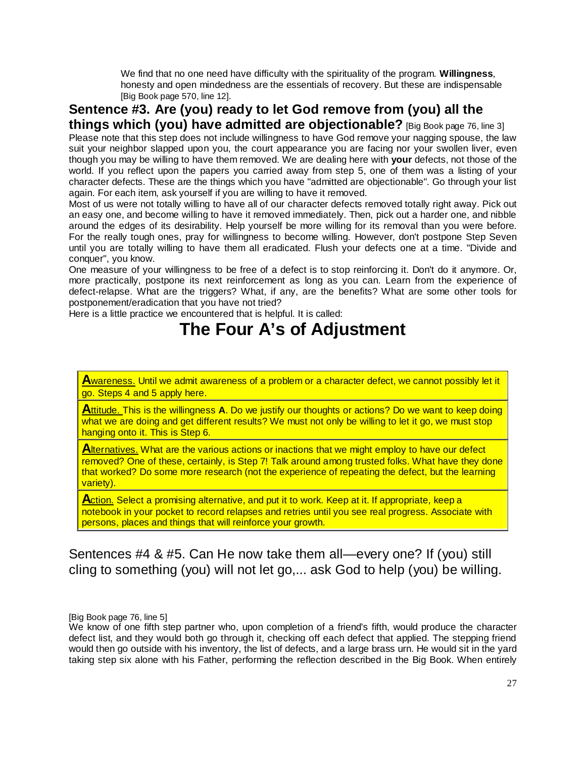We find that no one need have difficulty with the spirituality of the program. **Willingness**, honesty and open mindedness are the essentials of recovery. But these are indispensable [Big Book page 570, line 12].

## **Sentence #3. Are (you) ready to let God remove from (you) all the things which (you) have admitted are objectionable?** [Big Book page 76, line 3]

Please note that this step does not include willingness to have God remove your nagging spouse, the law suit your neighbor slapped upon you, the court appearance you are facing nor your swollen liver, even though you may be willing to have them removed. We are dealing here with **your** defects, not those of the world. If you reflect upon the papers you carried away from step 5, one of them was a listing of your character defects. These are the things which you have "admitted are objectionable". Go through your list again. For each item, ask yourself if you are willing to have it removed.

Most of us were not totally willing to have all of our character defects removed totally right away. Pick out an easy one, and become willing to have it removed immediately. Then, pick out a harder one, and nibble around the edges of its desirability. Help yourself be more willing for its removal than you were before. For the really tough ones, pray for willingness to become willing. However, don't postpone Step Seven until you are totally willing to have them all eradicated. Flush your defects one at a time. "Divide and conquer", you know.

One measure of your willingness to be free of a defect is to stop reinforcing it. Don't do it anymore. Or, more practically, postpone its next reinforcement as long as you can. Learn from the experience of defect-relapse. What are the triggers? What, if any, are the benefits? What are some other tools for postponement/eradication that you have not tried?

Here is a little practice we encountered that is helpful. It is called:

## **The Four A's of Adjustment**

**A**wareness. Until we admit awareness of a problem or a character defect, we cannot possibly let it go. Steps 4 and 5 apply here.

**A**ttitude. This is the willingness **A**. Do we justify our thoughts or actions? Do we want to keep doing what we are doing and get different results? We must not only be willing to let it go, we must stop hanging onto it. This is Step 6.

**A**lternatives. What are the various actions or inactions that we might employ to have our defect removed? One of these, certainly, is Step 7! Talk around among trusted folks. What have they done that worked? Do some more research (not the experience of repeating the defect, but the learning variety).

**A**ction. Select a promising alternative, and put it to work. Keep at it. If appropriate, keep a notebook in your pocket to record relapses and retries until you see real progress. Associate with persons, places and things that will reinforce your growth.

Sentences #4 & #5. Can He now take them all—every one? If (you) still cling to something (you) will not let go,... ask God to help (you) be willing.

[Big Book page 76, line 5]

We know of one fifth step partner who, upon completion of a friend's fifth, would produce the character defect list, and they would both go through it, checking off each defect that applied. The stepping friend would then go outside with his inventory, the list of defects, and a large brass urn. He would sit in the yard taking step six alone with his Father, performing the reflection described in the Big Book. When entirely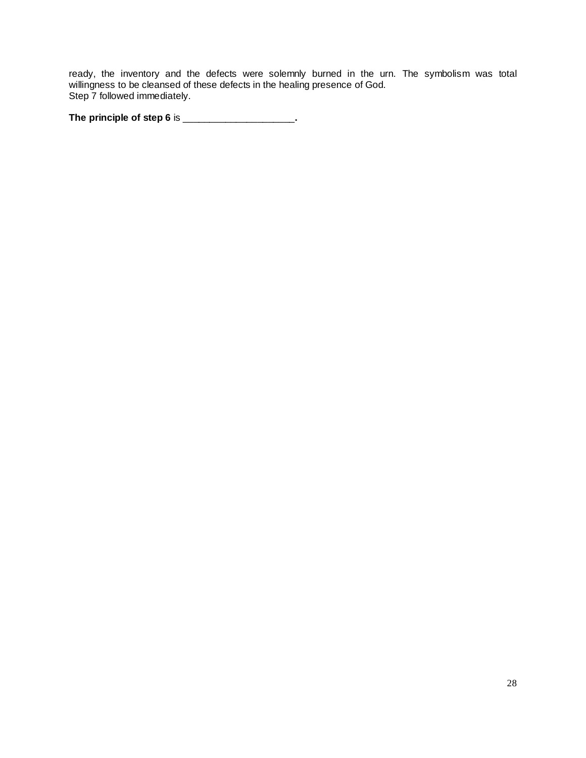ready, the inventory and the defects were solemnly burned in the urn. The symbolism was total willingness to be cleansed of these defects in the healing presence of God. Step 7 followed immediately.

**The principle of step 6** is \_\_\_\_\_\_\_\_\_\_\_\_\_\_\_\_\_\_\_\_\_**.**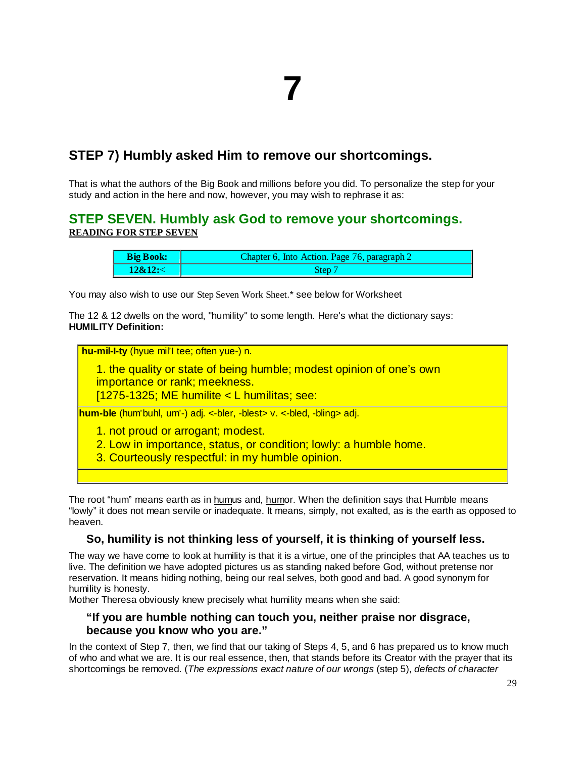## **STEP 7) Humbly asked Him to remove our shortcomings.**

That is what the authors of the Big Book and millions before you did. To personalize the step for your study and action in the here and now, however, you may wish to rephrase it as:

## **STEP SEVEN. Humbly ask God to remove your shortcomings. READING FOR STEP SEVEN**

| <b>Big Book:</b> | Chapter 6, Into Action. Page 76, paragraph 2 |  |
|------------------|----------------------------------------------|--|
| 12&12:<          | Step.                                        |  |

You may also wish to use our Step Seven Work Sheet.\* see below for Worksheet

The 12 & 12 dwells on the word, "humility" to some length. Here's what the dictionary says: **HUMILITY Definition:**

**hu-mil-I-ty** (hyue mil'I tee; often yue-) n.

1. the quality or state of being humble; modest opinion of one's own importance or rank; meekness.

 $[1275-1325; ME$  humilite  $\lt L$  humilitas; see:

**hum-ble** (hum'buhl, um'-) adj. <-bler, -blest> v. <-bled, -bling> adj.

1. not proud or arrogant; modest.

2. Low in importance, status, or condition; lowly: a humble home.

3. Courteously respectful: in my humble opinion.

The root "hum" means earth as in humus and, humor. When the definition says that Humble means "lowly" it does not mean servile or inadequate. It means, simply, not exalted, as is the earth as opposed to heaven.

## **So, humility is not thinking less of yourself, it is thinking of yourself less.**

The way we have come to look at humility is that it is a virtue, one of the principles that AA teaches us to live. The definition we have adopted pictures us as standing naked before God, without pretense nor reservation. It means hiding nothing, being our real selves, both good and bad. A good synonym for humility is honesty.

Mother Theresa obviously knew precisely what humility means when she said:

#### **"If you are humble nothing can touch you, neither praise nor disgrace, because you know who you are."**

In the context of Step 7, then, we find that our taking of Steps 4, 5, and 6 has prepared us to know much of who and what we are. It is our real essence, then, that stands before its Creator with the prayer that its shortcomings be removed. (*The expressions exact nature of our wrongs* (step 5), *defects of character*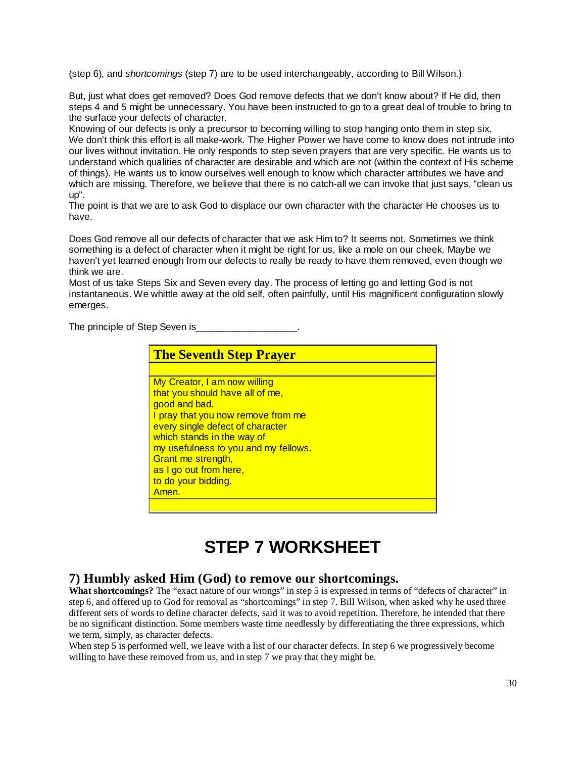(step 6), and *shortcomings* (step 7) are to be used interchangeably, according to Bill Wilson.)

But, just what does get removed? Does God remove defects that we don't know about? If He did, then steps 4 and 5 might be unnecessary. You have been instructed to go to a great deal of trouble to bring to the surface your defects of character.

Knowing of our defects is only a precursor to becoming willing to stop hanging onto them in step six. We don't think this effort is all make-work. The Higher Power we have come to know does not intrude into our lives without invitation. He only responds to step seven prayers that are very specific. He wants us to understand which qualities of character are desirable and which are not (within the context of His scheme of things). He wants us to know ourselves well enough to know which character attributes we have and which are missing. Therefore, we believe that there is no catch-all we can invoke that just says, "clean us up".

The point is that we are to ask God to displace our own character with the character He chooses us to have.

Does God remove all our defects of character that we ask Him to? It seems not. Sometimes we think something is a defect of character when it might be right for us, like a mole on our cheek. Maybe we haven't yet learned enough from our defects to really be ready to have them removed, even though we think we are.

Most of us take Steps Six and Seven every day. The process of letting go and letting God is not instantaneous. We whittle away at the old self, often painfully, until His magnificent configuration slowly emerges.

The principle of Step Seven is\_\_\_\_\_

| <b>The Seventh Step Prayer</b>       |  |
|--------------------------------------|--|
|                                      |  |
| My Creator, I am now willing         |  |
| that you should have all of me,      |  |
| good and bad.                        |  |
| I pray that you now remove from me   |  |
| every single defect of character     |  |
| which stands in the way of           |  |
| my usefulness to you and my fellows. |  |
| Grant me strength,                   |  |
| as I go out from here,               |  |
| to do your bidding.                  |  |
| Amen.                                |  |
|                                      |  |

## **STEP 7 WORKSHEET**

## **7) Humbly asked Him (God) to remove our shortcomings.**

**What shortcomings?** The "exact nature of our wrongs" in step 5 is expressed in terms of "defects of character" in step 6, and offered up to God for removal as "shortcomings" in step 7. Bill Wilson, when asked why he used three different sets of words to define character defects, said it was to avoid repetition. Therefore, he intended that there be no significant distinction. Some members waste time needlessly by differentiating the three expressions, which we term, simply, as character defects.

When step 5 is performed well, we leave with a list of our character defects. In step 6 we progressively become willing to have these removed from us, and in step 7 we pray that they might be.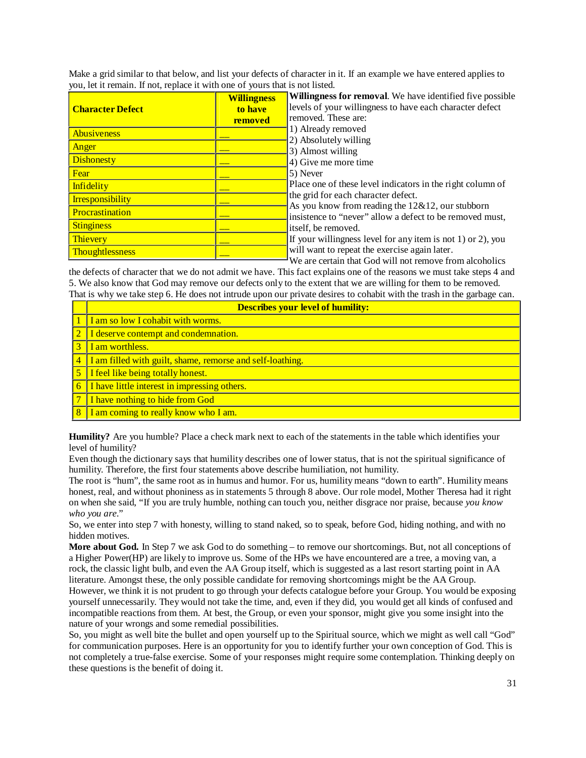Make a grid similar to that below, and list your defects of character in it. If an example we have entered applies to you, let it remain. If not, replace it with one of yours that is not listed.

|                         | <b>Willingness</b> | Willingness for removal. We have identified five possible<br>levels of your willingness to have each character defect |
|-------------------------|--------------------|-----------------------------------------------------------------------------------------------------------------------|
| <b>Character Defect</b> | to have<br>removed | removed. These are:                                                                                                   |
|                         |                    | 1) Already removed                                                                                                    |
| <b>Abusiveness</b>      |                    | 2) Absolutely willing                                                                                                 |
| Anger                   |                    | 3) Almost willing                                                                                                     |
| <b>Dishonesty</b>       |                    | 4) Give me more time                                                                                                  |
| Fear                    |                    | 5) Never                                                                                                              |
| Infidelity              |                    | Place one of these level indicators in the right column of                                                            |
| <b>Irresponsibility</b> |                    | the grid for each character defect.                                                                                   |
| <b>Procrastination</b>  |                    | As you know from reading the $12\&12$ , our stubborn                                                                  |
|                         |                    | insistence to "never" allow a defect to be removed must,                                                              |
| <b>Stinginess</b>       |                    | itself, be removed.                                                                                                   |
| Thievery                |                    | If your willingness level for any item is not 1) or 2), you                                                           |
| <b>Thoughtlessness</b>  |                    | will want to repeat the exercise again later.                                                                         |
|                         |                    | We are certain that God will not remove from alcoholics                                                               |

the defects of character that we do not admit we have. This fact explains one of the reasons we must take steps 4 and 5. We also know that God may remove our defects only to the extent that we are willing for them to be removed. That is why we take step 6. He does not intrude upon our private desires to cohabit with the trash in the garbage can.

| <b>Describes your level of humility:</b>                  |  |
|-----------------------------------------------------------|--|
| I am so low I cohabit with worms.                         |  |
| I deserve contempt and condemnation.                      |  |
| I am worthless.                                           |  |
| I am filled with guilt, shame, remorse and self-loathing. |  |
| I feel like being totally honest.                         |  |
| I have little interest in impressing others.              |  |
| I have nothing to hide from God                           |  |
| I am coming to really know who I am.                      |  |

**Humility?** Are you humble? Place a check mark next to each of the statements in the table which identifies your level of humility?

Even though the dictionary says that humility describes one of lower status, that is not the spiritual significance of humility. Therefore, the first four statements above describe humiliation, not humility.

The root is "hum", the same root as in humus and humor. For us, humility means "down to earth". Humility means honest, real, and without phoniness as in statements 5 through 8 above. Our role model, Mother Theresa had it right on when she said, "If you are truly humble, nothing can touch you, neither disgrace nor praise, because *you know who you are*."

So, we enter into step 7 with honesty, willing to stand naked, so to speak, before God, hiding nothing, and with no hidden motives.

**More about God.** In Step 7 we ask God to do something – to remove our shortcomings. But, not all conceptions of a Higher Power(HP) are likely to improve us. Some of the HPs we have encountered are a tree, a moving van, a rock, the classic light bulb, and even the AA Group itself, which is suggested as a last resort starting point in AA literature. Amongst these, the only possible candidate for removing shortcomings might be the AA Group.

However, we think it is not prudent to go through your defects catalogue before your Group. You would be exposing yourself unnecessarily. They would not take the time, and, even if they did, you would get all kinds of confused and incompatible reactions from them. At best, the Group, or even your sponsor, might give you some insight into the nature of your wrongs and some remedial possibilities.

So, you might as well bite the bullet and open yourself up to the Spiritual source, which we might as well call "God" for communication purposes. Here is an opportunity for you to identify further your own conception of God. This is not completely a true-false exercise. Some of your responses might require some contemplation. Thinking deeply on these questions is the benefit of doing it.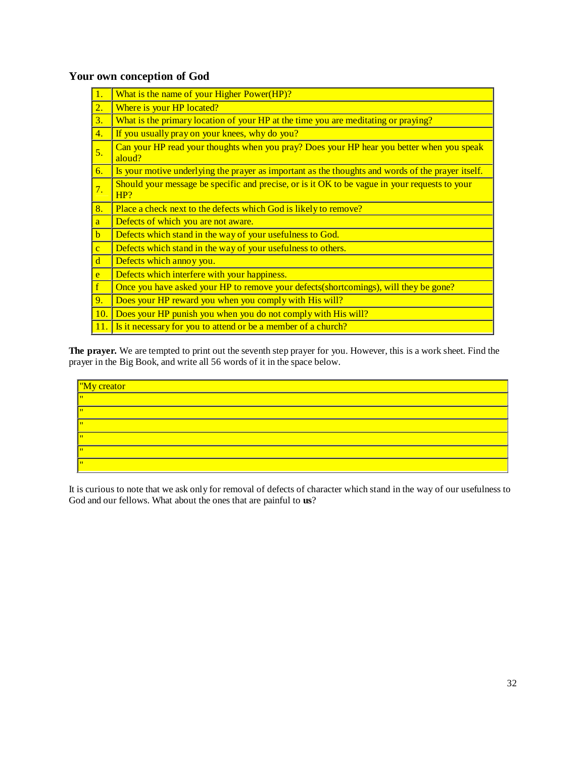#### **Your own conception of God**

| 1.             | What is the name of your Higher Power(HP)?                                                           |
|----------------|------------------------------------------------------------------------------------------------------|
| 2.             | Where is your HP located?                                                                            |
| 3.             | What is the primary location of your HP at the time you are meditating or praying?                   |
| 4.             | If you usually pray on your knees, why do you?                                                       |
| 5.             | Can your HP read your thoughts when you pray? Does your HP hear you better when you speak<br>aloud?  |
| 6.             | Is your motive underlying the prayer as important as the thoughts and words of the prayer itself.    |
| 7.             | Should your message be specific and precise, or is it OK to be vague in your requests to your<br>HP? |
| 8.             | Place a check next to the defects which God is likely to remove?                                     |
| a              | Defects of which you are not aware.                                                                  |
| $\mathbf{b}$   | Defects which stand in the way of your usefulness to God.                                            |
| $\overline{c}$ | Defects which stand in the way of your usefulness to others.                                         |
| $\mathbf{d}$   | Defects which annoy you.                                                                             |
| $\mathbf{e}$   | Defects which interfere with your happiness.                                                         |
| f              | Once you have asked your HP to remove your defects (shortcomings), will they be gone?                |
| 9.             | Does your HP reward you when you comply with His will?                                               |
| 10.            | Does your HP punish you when you do not comply with His will?                                        |
| 11.            | Is it necessary for you to attend or be a member of a church?                                        |

**The prayer.** We are tempted to print out the seventh step prayer for you. However, this is a work sheet. Find the prayer in the Big Book, and write all 56 words of it in the space below.

| "My creator |
|-------------|
| <u>In</u>   |
| <u>In</u>   |
| m           |
| <u>In</u>   |
| m           |
| m           |

It is curious to note that we ask only for removal of defects of character which stand in the way of our usefulness to God and our fellows. What about the ones that are painful to **us**?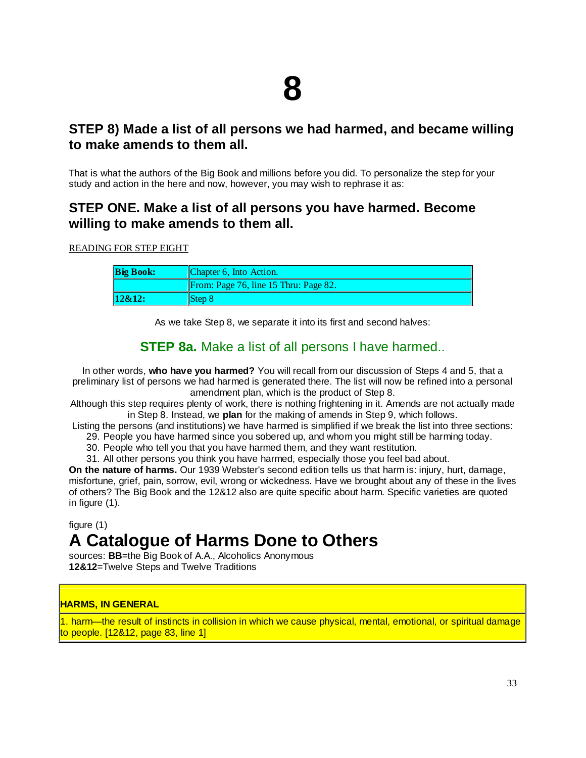## **8**

## **STEP 8) Made a list of all persons we had harmed, and became willing to make amends to them all.**

That is what the authors of the Big Book and millions before you did. To personalize the step for your study and action in the here and now, however, you may wish to rephrase it as:

## **STEP ONE. Make a list of all persons you have harmed. Become willing to make amends to them all.**

#### READING FOR STEP EIGHT

| <b>Big Book:</b> | Chapter 6, Into Action.               |  |
|------------------|---------------------------------------|--|
|                  | From: Page 76, line 15 Thru: Page 82. |  |
| 12&12:           | <b>Step 8</b>                         |  |

As we take Step 8, we separate it into its first and second halves:

## **STEP 8a.** Make a list of all persons I have harmed..

In other words, **who have you harmed?** You will recall from our discussion of Steps 4 and 5, that a preliminary list of persons we had harmed is generated there. The list will now be refined into a personal amendment plan, which is the product of Step 8.

Although this step requires plenty of work, there is nothing frightening in it. Amends are not actually made in Step 8. Instead, we **plan** for the making of amends in Step 9, which follows.

Listing the persons (and institutions) we have harmed is simplified if we break the list into three sections:

- 29. People you have harmed since you sobered up, and whom you might still be harming today.
- 30. People who tell you that you have harmed them, and they want restitution.

31. All other persons you think you have harmed, especially those you feel bad about.

**On the nature of harms.** Our 1939 Webster's second edition tells us that harm is: injury, hurt, damage, misfortune, grief, pain, sorrow, evil, wrong or wickedness. Have we brought about any of these in the lives of others? The Big Book and the 12&12 also are quite specific about harm. Specific varieties are quoted in figure (1).

## figure (1) **A Catalogue of Harms Done to Others**

sources: **BB**=the Big Book of A.A., Alcoholics Anonymous **12&12**=Twelve Steps and Twelve Traditions

#### **HARMS, IN GENERAL**

1. harm—the result of instincts in collision in which we cause physical, mental, emotional, or spiritual damage to people. [12&12, page 83, line 1]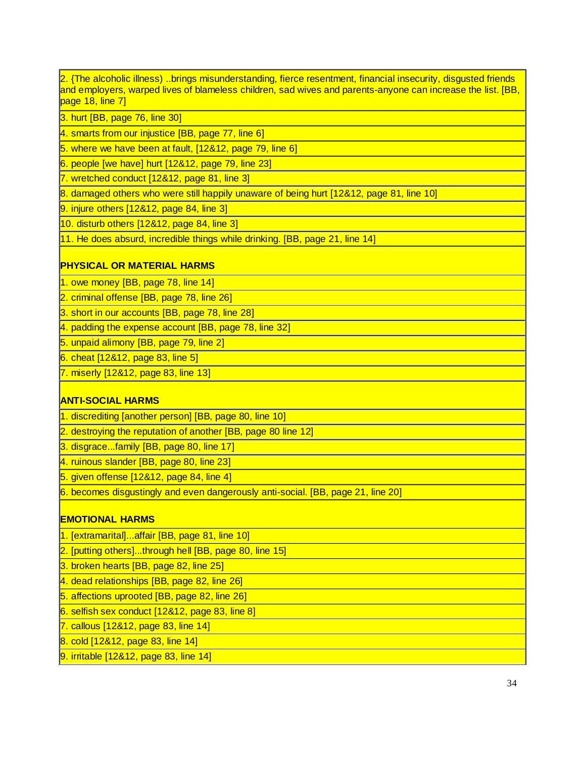2. {The alcoholic illness) ..brings misunderstanding, fierce resentment, financial insecurity, disgusted friends and employers, warped lives of blameless children, sad wives and parents-anyone can increase the list. [BB, page 18, line 71

3. hurt [BB, page 76, line 30]

4. smarts from our injustice [BB, page 77, line 6]

5. where we have been at fault, [12&12, page 79, line 6]

6. people [we have] hurt [12&12, page 79, line 23]

7. wretched conduct [12&12, page 81, line 3]

8. damaged others who were still happily unaware of being hurt [12&12, page 81, line 10]

9. injure others [12&12, page 84, line 3]

10. disturb others [12&12, page 84, line 3]

11. He does absurd, incredible things while drinking. [BB, page 21, line 14]

#### **PHYSICAL OR MATERIAL HARMS**

1. owe money [BB, page 78, line 14]

2. criminal offense [BB, page 78, line 26]

- 3. short in our accounts [BB, page 78, line 28]
- 4. padding the expense account [BB, page 78, line 32]

5. unpaid alimony [BB, page 79, line 2]

6. cheat [12&12, page 83, line 5]

7. miserly [12&12, page 83, line 13]

#### **ANTI-SOCIAL HARMS**

1. discrediting [another person] [BB, page 80, line 10]

2. destroying the reputation of another [BB, page 80 line 12]

3. disgrace...family [BB, page 80, line 17]

4. ruinous slander [BB, page 80, line 23]

5. given offense [12&12, page 84, line 4]

6. becomes disgustingly and even dangerously anti-social. [BB, page 21, line 20]

#### **EMOTIONAL HARMS**

1. [extramarital]...affair [BB, page 81, line 10]

2. [putting others]...through hell [BB, page 80, line 15]

3. broken hearts [BB, page 82, line 25]

4. dead relationships [BB, page 82, line 26]

5. affections uprooted [BB, page 82, line 26]

6. selfish sex conduct [12&12, page 83, line 8]

7. callous [12&12, page 83, line 14]

8. cold [12&12, page 83, line 14]

9. irritable [12&12, page 83, line 14]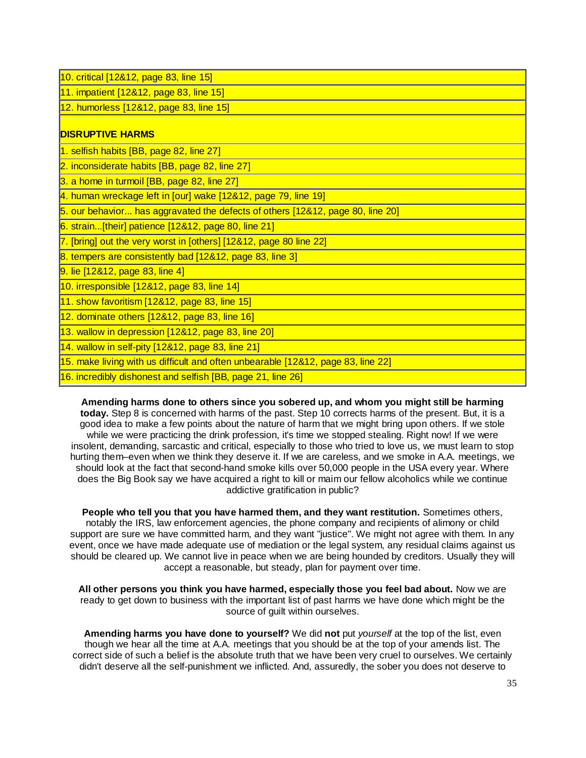| 10. critical [12&12, page 83, line 15]                                           |
|----------------------------------------------------------------------------------|
| 11. impatient [12&12, page 83, line 15]                                          |
| $12.$ humorless $[12812,$ page 83, line 15]                                      |
| <b>DISRUPTIVE HARMS</b>                                                          |
| 1. selfish habits [BB, page 82, line 27]                                         |
| 2. inconsiderate habits [BB, page 82, line 27]                                   |
| 3. a home in turmoil [BB, page 82, line 27]                                      |
| 4. human wreckage left in [our] wake [12&12, page 79, line 19]                   |
| 5. our behavior has aggravated the defects of others [12&12, page 80, line 20]   |
| 6. strain[their] patience [12&12, page 80, line 21]                              |
| 7. [bring] out the very worst in [others] [12&12, page 80 line 22]               |
| 8. tempers are consistently bad [12&12, page 83, line 3]                         |
| $[9.$ lie [12&12, page 83, line 4]                                               |
| 10. irresponsible $[12812,$ page 83, line 14]                                    |
| 11. show favoritism $[12812,$ page 83, line 15]                                  |
| $12.$ dominate others $[12812,$ page 83, line 16]                                |
| 13. wallow in depression [12&12, page 83, line 20]                               |
| 14. wallow in self-pity $[12812,$ page 83, line 21]                              |
| 15. make living with us difficult and often unbearable [12&12, page 83, line 22] |
| 16. incredibly dishonest and selfish [BB, page 21, line 26]                      |

**Amending harms done to others since you sobered up, and whom you might still be harming today.** Step 8 is concerned with harms of the past. Step 10 corrects harms of the present. But, it is a good idea to make a few points about the nature of harm that we might bring upon others. If we stole while we were practicing the drink profession, it's time we stopped stealing. Right now! If we were insolent, demanding, sarcastic and critical, especially to those who tried to love us, we must learn to stop hurting them–even when we think they deserve it. If we are careless, and we smoke in A.A. meetings, we should look at the fact that second-hand smoke kills over 50,000 people in the USA every year. Where does the Big Book say we have acquired a right to kill or maim our fellow alcoholics while we continue addictive gratification in public?

**People who tell you that you have harmed them, and they want restitution.** Sometimes others, notably the IRS, law enforcement agencies, the phone company and recipients of alimony or child support are sure we have committed harm, and they want "justice". We might not agree with them. In any event, once we have made adequate use of mediation or the legal system, any residual claims against us should be cleared up. We cannot live in peace when we are being hounded by creditors. Usually they will accept a reasonable, but steady, plan for payment over time.

**All other persons you think you have harmed, especially those you feel bad about.** Now we are ready to get down to business with the important list of past harms we have done which might be the source of guilt within ourselves.

**Amending harms you have done to yourself?** We did **not** put *yourself* at the top of the list, even though we hear all the time at A.A. meetings that you should be at the top of your amends list. The correct side of such a belief is the absolute truth that we have been very cruel to ourselves. We certainly didn't deserve all the self-punishment we inflicted. And, assuredly, the sober you does not deserve to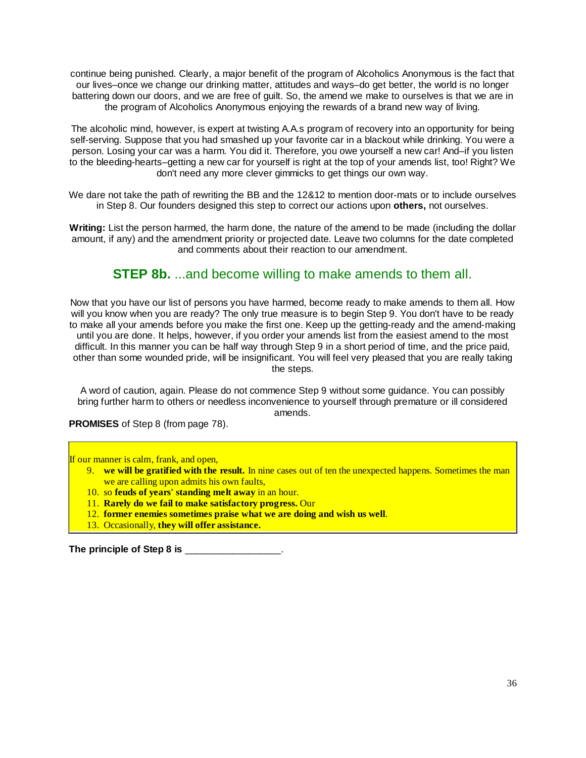continue being punished. Clearly, a major benefit of the program of Alcoholics Anonymous is the fact that our lives–once we change our drinking matter, attitudes and ways–do get better, the world is no longer battering down our doors, and we are free of guilt. So, the amend we make to ourselves is that we are in the program of Alcoholics Anonymous enjoying the rewards of a brand new way of living.

The alcoholic mind, however, is expert at twisting A.A.s program of recovery into an opportunity for being self-serving. Suppose that you had smashed up your favorite car in a blackout while drinking. You were a person. Losing your car was a harm. You did it. Therefore, you owe yourself a new car! And–if you listen to the bleeding-hearts–getting a new car for yourself is right at the top of your amends list, too! Right? We don't need any more clever gimmicks to get things our own way.

We dare not take the path of rewriting the BB and the 12&12 to mention door-mats or to include ourselves in Step 8. Our founders designed this step to correct our actions upon **others,** not ourselves.

**Writing:** List the person harmed, the harm done, the nature of the amend to be made (including the dollar amount, if any) and the amendment priority or projected date. Leave two columns for the date completed and comments about their reaction to our amendment.

## **STEP 8b.** ...and become willing to make amends to them all.

Now that you have our list of persons you have harmed, become ready to make amends to them all. How will you know when you are ready? The only true measure is to begin Step 9. You don't have to be ready to make all your amends before you make the first one. Keep up the getting-ready and the amend-making until you are done. It helps, however, if you order your amends list from the easiest amend to the most difficult. In this manner you can be half way through Step 9 in a short period of time, and the price paid, other than some wounded pride, will be insignificant. You will feel very pleased that you are really taking the steps.

A word of caution, again. Please do not commence Step 9 without some guidance. You can possibly bring further harm to others or needless inconvenience to yourself through premature or ill considered amends.

**PROMISES** of Step 8 (from page 78).

If our manner is calm, frank, and open,

- 9. **we will be gratified with the result.** In nine cases out of ten the unexpected happens. Sometimes the man we are calling upon admits his own faults,
- 10. so **feuds of years' standing melt away** in an hour.
- 11. **Rarely do we fail to make satisfactory progress.** Our
- 12. **former enemies sometimes praise what we are doing and wish us well**.
- 13. Occasionally, **they will offer assistance.**

**The principle of Step 8 is Step 3.1 In the step 3.1 In the step 3.1 In the step 3.1 In the step 3.1 In the step 3.1 In the step 3.1 In the step 3.1 In the step 3.1 In the step 3.1 In the step 3.1 In the step 3.1 In the**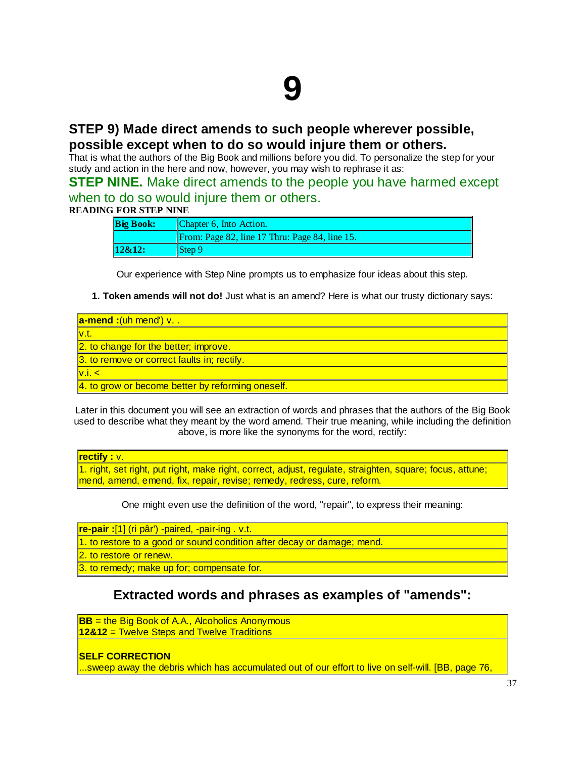## **9**

## **STEP 9) Made direct amends to such people wherever possible, possible except when to do so would injure them or others.**

That is what the authors of the Big Book and millions before you did. To personalize the step for your study and action in the here and now, however, you may wish to rephrase it as:

**STEP NINE.** Make direct amends to the people you have harmed except when to do so would injure them or others.

#### **READING FOR STEP NINE**

| <b>Big Book:</b> | <b>Chapter 6, Into Action.</b>                 |  |
|------------------|------------------------------------------------|--|
|                  | From: Page 82, line 17 Thru: Page 84, line 15. |  |
| 12&12:           | $\textsf{Step } 9$                             |  |

Our experience with Step Nine prompts us to emphasize four ideas about this step.

**1. Token amends will not do!** Just what is an amend? Here is what our trusty dictionary says:

| $ $ a-mend : (uh mend') $v_{\cdot}$ .             |  |
|---------------------------------------------------|--|
| $\mathsf{v}$ .t.                                  |  |
| 2. to change for the better; improve.             |  |
| 3. to remove or correct faults in; rectify.       |  |
| $\overline{v.i.}$ <                               |  |
| 4. to grow or become better by reforming oneself. |  |

Later in this document you will see an extraction of words and phrases that the authors of the Big Book used to describe what they meant by the word amend. Their true meaning, while including the definition above, is more like the synonyms for the word, rectify:

**rectify :** v.

1. right, set right, put right, make right, correct, adjust, regulate, straighten, square; focus, attune; mend, amend, emend, fix, repair, revise; remedy, redress, cure, reform.

One might even use the definition of the word, "repair", to express their meaning:

**re-pair :**[1] (ri pâr') -paired, -pair-ing . v.t.

1. to restore to a good or sound condition after decay or damage; mend.

2. to restore or renew.

3. to remedy; make up for; compensate for.

## **Extracted words and phrases as examples of "amends":**

**BB** = the Big Book of A.A., Alcoholics Anonymous **12&12** = Twelve Steps and Twelve Traditions

#### **SELF CORRECTION**

...sweep away the debris which has accumulated out of our effort to live on self-will. [BB, page 76,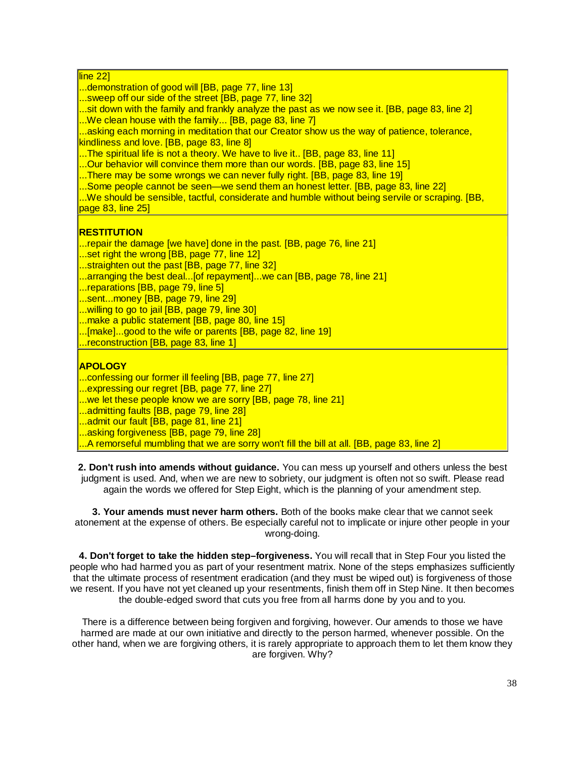#### line 221

- ...demonstration of good will [BB, page 77, line 13]
- ...sweep off our side of the street [BB, page 77, line 32]
- ...sit down with the family and frankly analyze the past as we now see it. [BB, page 83, line 2]
- ...We clean house with the family... [BB, page 83, line 7]
- ...asking each morning in meditation that our Creator show us the way of patience, tolerance,
- kindliness and love. [BB, page 83, line 8]
- ...The spiritual life is not a theory. We have to live it.. [BB, page 83, line 11]
- ...Our behavior will convince them more than our words. [BB, page 83, line 15]
- ...There may be some wrongs we can never fully right. [BB, page 83, line 19]
- ...Some people cannot be seen—we send them an honest letter. [BB, page 83, line 22]
- ...We should be sensible, tactful, considerate and humble without being servile or scraping. [BB,
- page 83, line 25]

#### **RESTITUTION**

- ...repair the damage [we have] done in the past. [BB, page 76, line 21]
- ...set right the wrong [BB, page 77, line 12]
- ...straighten out the past [BB, page 77, line 32]
- ...arranging the best deal...[of repayment]...we can [BB, page 78, line 21]
- ...reparations [BB, page 79, line 5]
- ...sent...money [BB, page 79, line 29]
- ...willing to go to jail [BB, page 79, line 30]
- ...make a public statement [BB, page 80, line 15]
- ...[make]...good to the wife or parents [BB, page 82, line 19]...
- ...reconstruction [BB, page 83, line 1]

#### **APOLOGY**

- ...confessing our former ill feeling [BB, page 77, line 27]
- ...expressing our regret [BB, page 77, line 27]
- ...we let these people know we are sorry [BB, page 78, line 21]
- ...admitting faults [BB, page 79, line 28]
- ...admit our fault [BB, page 81, line 21]
- ..asking forgiveness [BB, page 79, line 28]

...A remorseful mumbling that we are sorry won't fill the bill at all. [BB, page 83, line 2]

**2. Don't rush into amends without guidance.** You can mess up yourself and others unless the best judgment is used. And, when we are new to sobriety, our judgment is often not so swift. Please read again the words we offered for Step Eight, which is the planning of your amendment step.

**3. Your amends must never harm others.** Both of the books make clear that we cannot seek atonement at the expense of others. Be especially careful not to implicate or injure other people in your wrong-doing.

**4. Don't forget to take the hidden step–forgiveness.** You will recall that in Step Four you listed the people who had harmed you as part of your resentment matrix. None of the steps emphasizes sufficiently that the ultimate process of resentment eradication (and they must be wiped out) is forgiveness of those we resent. If you have not yet cleaned up your resentments, finish them off in Step Nine. It then becomes the double-edged sword that cuts you free from all harms done by you and to you.

There is a difference between being forgiven and forgiving, however. Our amends to those we have harmed are made at our own initiative and directly to the person harmed, whenever possible. On the other hand, when we are forgiving others, it is rarely appropriate to approach them to let them know they are forgiven. Why?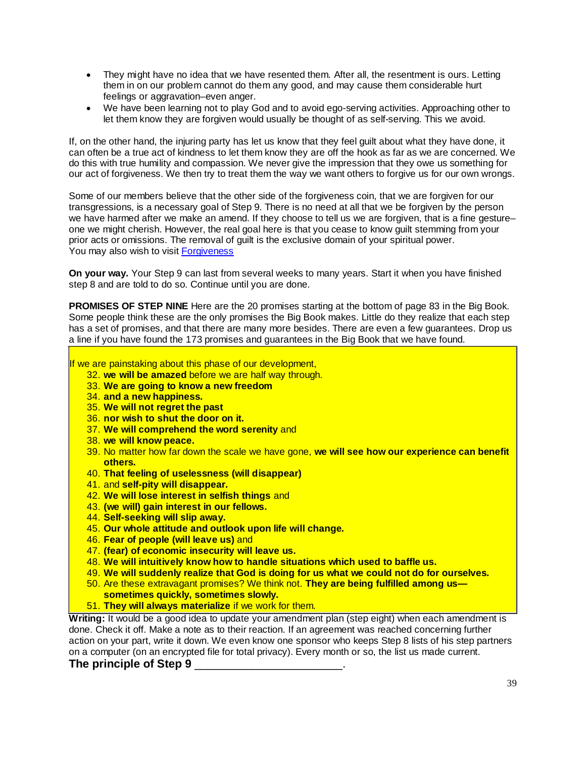- They might have no idea that we have resented them. After all, the resentment is ours. Letting them in on our problem cannot do them any good, and may cause them considerable hurt feelings or aggravation–even anger.
- We have been learning not to play God and to avoid ego-serving activities. Approaching other to let them know they are forgiven would usually be thought of as self-serving. This we avoid.

If, on the other hand, the injuring party has let us know that they feel guilt about what they have done, it can often be a true act of kindness to let them know they are off the hook as far as we are concerned. We do this with true humility and compassion. We never give the impression that they owe us something for our act of forgiveness. We then try to treat them the way we want others to forgive us for our own wrongs.

Some of our members believe that the other side of the forgiveness coin, that we are forgiven for our transgressions, is a necessary goal of Step 9. There is no need at all that we be forgiven by the person we have harmed after we make an amend. If they choose to tell us we are forgiven, that is a fine gesture– one we might cherish. However, the real goal here is that you cease to know guilt stemming from your prior acts or omissions. The removal of guilt is the exclusive domain of your spiritual power. You may also wish to visit **Forgiveness** 

**On your way.** Your Step 9 can last from several weeks to many years. Start it when you have finished step 8 and are told to do so. Continue until you are done.

**PROMISES OF STEP NINE** Here are the 20 promises starting at the bottom of page 83 in the Big Book. Some people think these are the only promises the Big Book makes. Little do they realize that each step has a set of promises, and that there are many more besides. There are even a few guarantees. Drop us a line if you have found the 173 promises and guarantees in the Big Book that we have found.

#### If we are painstaking about this phase of our development,

- 32. **we will be amazed** before we are half way through.
- 33. **We are going to know a new freedom**
- 34. **and a new happiness.**
- 35. **We will not regret the past**
- 36. **nor wish to shut the door on it.**
- 37. **We will comprehend the word serenity** and
- 38. **we will know peace.**
- 39. No matter how far down the scale we have gone, **we will see how our experience can benefit others.**
- 40. **That feeling of uselessness (will disappear)**
- 41. and **self-pity will disappear.**
- 42. **We will lose interest in selfish things** and
- 43. **(we will) gain interest in our fellows.**
- 44. **Self-seeking will slip away.**
- 45. **Our whole attitude and outlook upon life will change.**
- 46. **Fear of people (will leave us)** and
- 47. **(fear) of economic insecurity will leave us.**
- 48. **We will intuitively know how to handle situations which used to baffle us.**
- 49. **We will suddenly realize that God is doing for us what we could not do for ourselves.**
- 50. Are these extravagant promises? We think not. **They are being fulfilled among us sometimes quickly, sometimes slowly.**
- 51. **They will always materialize** if we work for them.

**Writing:** It would be a good idea to update your amendment plan (step eight) when each amendment is done. Check it off. Make a note as to their reaction. If an agreement was reached concerning further action on your part, write it down. We even know one sponsor who keeps Step 8 lists of his step partners on a computer (on an encrypted file for total privacy). Every month or so, the list us made current. **The principle of Step 9 Letting 1** *Letting 1* **<b>***Letting 1 Letting 1**Letting 1**Letting 1**Letting 1**Letting 1**Letting 1**Letting 1**Letting 1**Letting 1**Letting 1**Letting 1**Letting 1**Letting 1*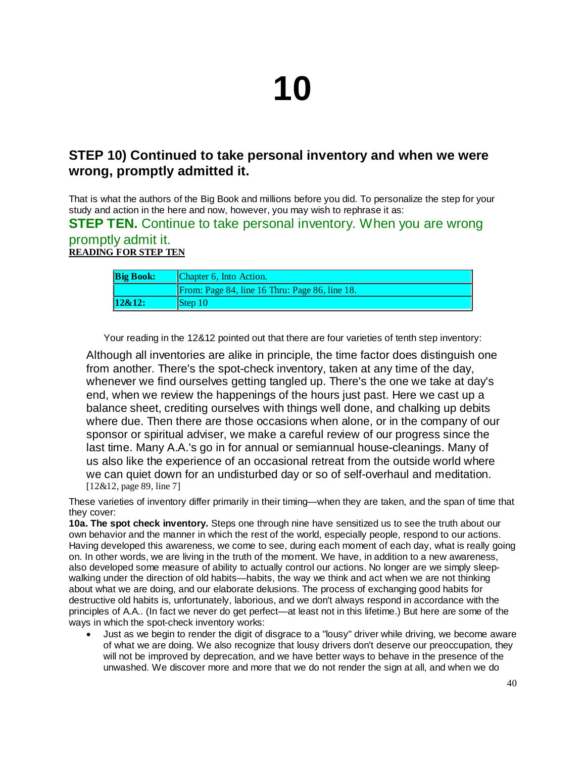# **10**

## **STEP 10) Continued to take personal inventory and when we were wrong, promptly admitted it.**

That is what the authors of the Big Book and millions before you did. To personalize the step for your study and action in the here and now, however, you may wish to rephrase it as:

## **STEP TEN.** Continue to take personal inventory. When you are wrong promptly admit it.

## **READING FOR STEP TEN**

| <b>Big Book:</b> | Chapter 6, Into Action.                        |  |
|------------------|------------------------------------------------|--|
|                  | From: Page 84, line 16 Thru: Page 86, line 18. |  |
| 12&812:          | $\blacktriangleright$ Step 10                  |  |

Your reading in the 12&12 pointed out that there are four varieties of tenth step inventory:

Although all inventories are alike in principle, the time factor does distinguish one from another. There's the spot-check inventory, taken at any time of the day, whenever we find ourselves getting tangled up. There's the one we take at day's end, when we review the happenings of the hours just past. Here we cast up a balance sheet, crediting ourselves with things well done, and chalking up debits where due. Then there are those occasions when alone, or in the company of our sponsor or spiritual adviser, we make a careful review of our progress since the last time. Many A.A.'s go in for annual or semiannual house-cleanings. Many of us also like the experience of an occasional retreat from the outside world where we can quiet down for an undisturbed day or so of self-overhaul and meditation. [12&12, page 89, line 7]

These varieties of inventory differ primarily in their timing—when they are taken, and the span of time that they cover:

**10a. The spot check inventory.** Steps one through nine have sensitized us to see the truth about our own behavior and the manner in which the rest of the world, especially people, respond to our actions. Having developed this awareness, we come to see, during each moment of each day, what is really going on. In other words, we are living in the truth of the moment. We have, in addition to a new awareness, also developed some measure of ability to actually control our actions. No longer are we simply sleepwalking under the direction of old habits—habits, the way we think and act when we are not thinking about what we are doing, and our elaborate delusions. The process of exchanging good habits for destructive old habits is, unfortunately, laborious, and we don't always respond in accordance with the principles of A.A.. (In fact we never do get perfect—at least not in this lifetime.) But here are some of the ways in which the spot-check inventory works:

 Just as we begin to render the digit of disgrace to a "lousy" driver while driving, we become aware of what we are doing. We also recognize that lousy drivers don't deserve our preoccupation, they will not be improved by deprecation, and we have better ways to behave in the presence of the unwashed. We discover more and more that we do not render the sign at all, and when we do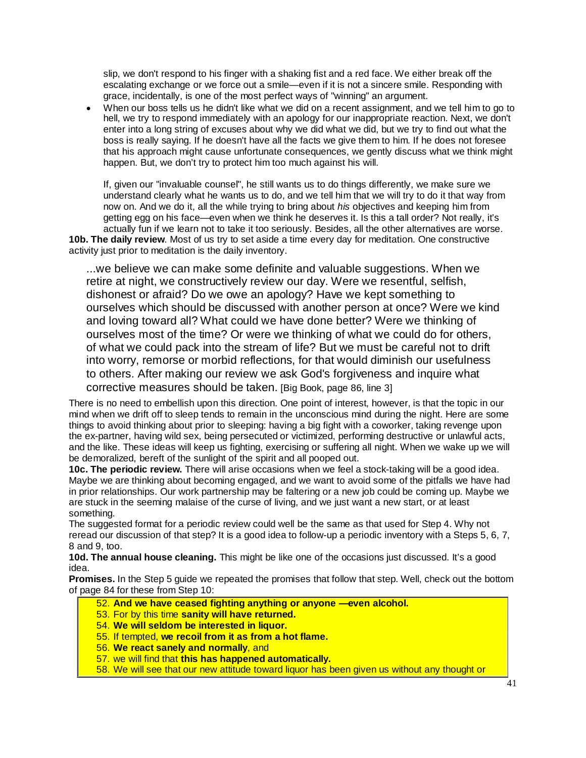slip, we don't respond to his finger with a shaking fist and a red face. We either break off the escalating exchange or we force out a smile—even if it is not a sincere smile. Responding with grace, incidentally, is one of the most perfect ways of "winning" an argument.

 When our boss tells us he didn't like what we did on a recent assignment, and we tell him to go to hell, we try to respond immediately with an apology for our inappropriate reaction. Next, we don't enter into a long string of excuses about why we did what we did, but we try to find out what the boss is really saying. If he doesn't have all the facts we give them to him. If he does not foresee that his approach might cause unfortunate consequences, we gently discuss what we think might happen. But, we don't try to protect him too much against his will.

If, given our "invaluable counsel", he still wants us to do things differently, we make sure we understand clearly what he wants us to do, and we tell him that we will try to do it that way from now on. And we do it, all the while trying to bring about *his* objectives and keeping him from getting egg on his face—even when we think he deserves it. Is this a tall order? Not really, it's actually fun if we learn not to take it too seriously. Besides, all the other alternatives are worse.

**10b. The daily review**. Most of us try to set aside a time every day for meditation. One constructive activity just prior to meditation is the daily inventory.

...we believe we can make some definite and valuable suggestions. When we retire at night, we constructively review our day. Were we resentful, selfish, dishonest or afraid? Do we owe an apology? Have we kept something to ourselves which should be discussed with another person at once? Were we kind and loving toward all? What could we have done better? Were we thinking of ourselves most of the time? Or were we thinking of what we could do for others, of what we could pack into the stream of life? But we must be careful not to drift into worry, remorse or morbid reflections, for that would diminish our usefulness to others. After making our review we ask God's forgiveness and inquire what corrective measures should be taken. [Big Book, page 86, line 3]

There is no need to embellish upon this direction. One point of interest, however, is that the topic in our mind when we drift off to sleep tends to remain in the unconscious mind during the night. Here are some things to avoid thinking about prior to sleeping: having a big fight with a coworker, taking revenge upon the ex-partner, having wild sex, being persecuted or victimized, performing destructive or unlawful acts, and the like. These ideas will keep us fighting, exercising or suffering all night. When we wake up we will be demoralized, bereft of the sunlight of the spirit and all pooped out.

**10c. The periodic review.** There will arise occasions when we feel a stock-taking will be a good idea. Maybe we are thinking about becoming engaged, and we want to avoid some of the pitfalls we have had in prior relationships. Our work partnership may be faltering or a new job could be coming up. Maybe we are stuck in the seeming malaise of the curse of living, and we just want a new start, or at least something.

The suggested format for a periodic review could well be the same as that used for Step 4. Why not reread our discussion of that step? It is a good idea to follow-up a periodic inventory with a Steps 5, 6, 7, 8 and 9, too.

**10d. The annual house cleaning.** This might be like one of the occasions just discussed. It's a good idea.

**Promises.** In the Step 5 guide we repeated the promises that follow that step. Well, check out the bottom of page 84 for these from Step 10:

- 52. **And we have ceased fighting anything or anyone —even alcohol.**
- 53. For by this time **sanity will have returned.**
- 54. **We will seldom be interested in liquor.**
- 55. If tempted, **we recoil from it as from a hot flame.**
- 56. **We react sanely and normally**, and
- 57. we will find that **this has happened automatically.**
- 58. We will see that our new attitude toward liquor has been given us without any thought or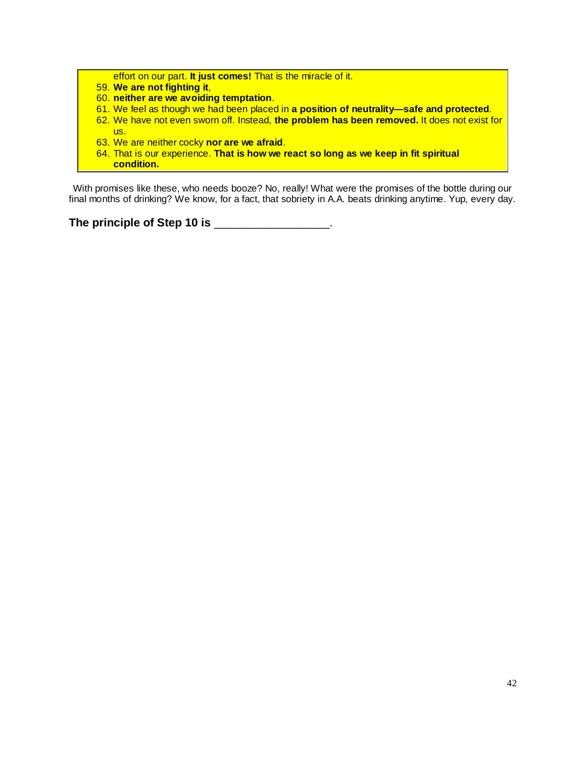effort on our part. **It just comes!** That is the miracle of it.

- 59. **We are not fighting it**,
- 60. **neither are we avoiding temptation**.
- 61. We feel as though we had been placed in **a position of neutrality—safe and protected**.
- 62. We have not even sworn off. Instead, **the problem has been removed.** It does not exist for us.
- 63. We are neither cocky **nor are we afraid**.
- 64. That is our experience. **That is how we react so long as we keep in fit spiritual condition.**

With promises like these, who needs booze? No, really! What were the promises of the bottle during our final months of drinking? We know, for a fact, that sobriety in A.A. beats drinking anytime. Yup, every day.

**The principle of Step 10 is** \_\_\_\_\_\_\_\_\_\_\_\_\_\_\_\_\_\_.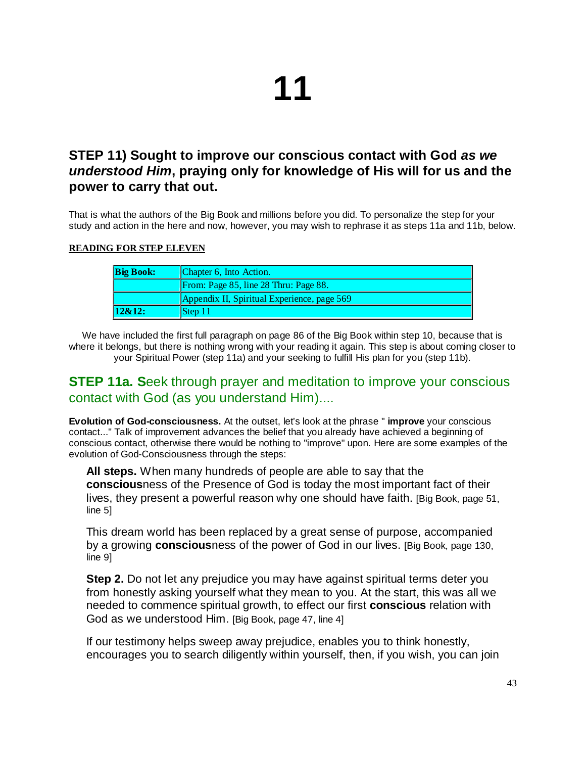# **11**

## **STEP 11) Sought to improve our conscious contact with God** *as we understood Him***, praying only for knowledge of His will for us and the power to carry that out.**

That is what the authors of the Big Book and millions before you did. To personalize the step for your study and action in the here and now, however, you may wish to rephrase it as steps 11a and 11b, below.

#### **READING FOR STEP ELEVEN**

| <b>Big Book:</b> | Chapter 6, Into Action.                     |  |
|------------------|---------------------------------------------|--|
|                  | From: Page 85, line 28 Thru: Page 88.       |  |
|                  | Appendix II, Spiritual Experience, page 569 |  |
| 12&12:           | $\textsf{Step} 11$                          |  |

We have included the first full paragraph on page 86 of the Big Book within step 10, because that is where it belongs, but there is nothing wrong with your reading it again. This step is about coming closer to your Spiritual Power (step 11a) and your seeking to fulfill His plan for you (step 11b).

## **STEP 11a. S**eek through prayer and meditation to improve your conscious contact with God (as you understand Him)....

**Evolution of God-consciousness.** At the outset, let's look at the phrase " **improve** your conscious contact..." Talk of improvement advances the belief that you already have achieved a beginning of conscious contact, otherwise there would be nothing to "improve" upon. Here are some examples of the evolution of God-Consciousness through the steps:

**All steps.** When many hundreds of people are able to say that the **conscious**ness of the Presence of God is today the most important fact of their lives, they present a powerful reason why one should have faith. [Big Book, page 51, line 5]

This dream world has been replaced by a great sense of purpose, accompanied by a growing **conscious**ness of the power of God in our lives. [Big Book, page 130, line 9]

**Step 2.** Do not let any prejudice you may have against spiritual terms deter you from honestly asking yourself what they mean to you. At the start, this was all we needed to commence spiritual growth, to effect our first **conscious** relation with God as we understood Him. [Big Book, page 47, line 4]

If our testimony helps sweep away prejudice, enables you to think honestly, encourages you to search diligently within yourself, then, if you wish, you can join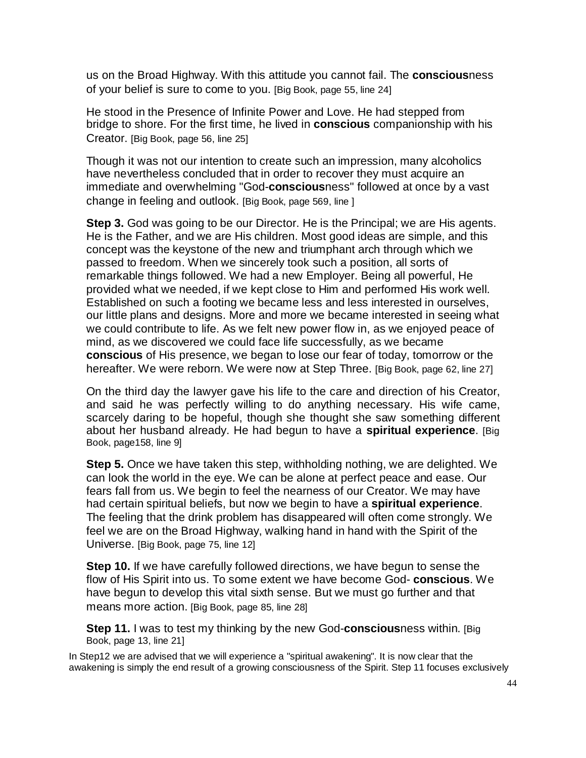us on the Broad Highway. With this attitude you cannot fail. The **conscious**ness of your belief is sure to come to you. [Big Book, page 55, line 24]

He stood in the Presence of Infinite Power and Love. He had stepped from bridge to shore. For the first time, he lived in **conscious** companionship with his Creator. [Big Book, page 56, line 25]

Though it was not our intention to create such an impression, many alcoholics have nevertheless concluded that in order to recover they must acquire an immediate and overwhelming "God-**conscious**ness" followed at once by a vast change in feeling and outlook. [Big Book, page 569, line ]

**Step 3.** God was going to be our Director. He is the Principal; we are His agents. He is the Father, and we are His children. Most good ideas are simple, and this concept was the keystone of the new and triumphant arch through which we passed to freedom. When we sincerely took such a position, all sorts of remarkable things followed. We had a new Employer. Being all powerful, He provided what we needed, if we kept close to Him and performed His work well. Established on such a footing we became less and less interested in ourselves, our little plans and designs. More and more we became interested in seeing what we could contribute to life. As we felt new power flow in, as we enjoyed peace of mind, as we discovered we could face life successfully, as we became **conscious** of His presence, we began to lose our fear of today, tomorrow or the hereafter. We were reborn. We were now at Step Three. [Big Book, page 62, line 27]

On the third day the lawyer gave his life to the care and direction of his Creator, and said he was perfectly willing to do anything necessary. His wife came, scarcely daring to be hopeful, though she thought she saw something different about her husband already. He had begun to have a **spiritual experience**. [Big Book, page158, line 9]

**Step 5.** Once we have taken this step, withholding nothing, we are delighted. We can look the world in the eye. We can be alone at perfect peace and ease. Our fears fall from us. We begin to feel the nearness of our Creator. We may have had certain spiritual beliefs, but now we begin to have a **spiritual experience**. The feeling that the drink problem has disappeared will often come strongly. We feel we are on the Broad Highway, walking hand in hand with the Spirit of the Universe. [Big Book, page 75, line 12]

**Step 10.** If we have carefully followed directions, we have begun to sense the flow of His Spirit into us. To some extent we have become God- **conscious**. We have begun to develop this vital sixth sense. But we must go further and that means more action. [Big Book, page 85, line 28]

**Step 11.** I was to test my thinking by the new God-**conscious**ness within. [Big Book, page 13, line 21]

In Step12 we are advised that we will experience a "spiritual awakening". It is now clear that the awakening is simply the end result of a growing consciousness of the Spirit. Step 11 focuses exclusively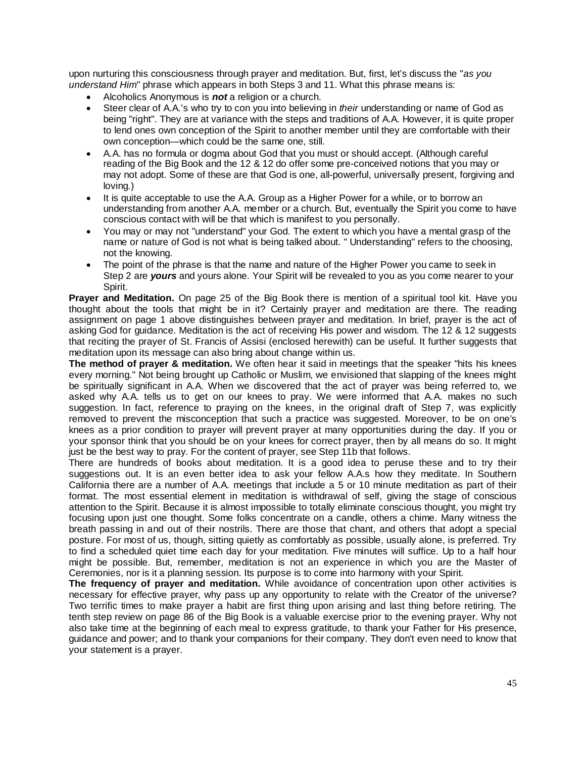upon nurturing this consciousness through prayer and meditation. But, first, let's discuss the "*as you understand Him*" phrase which appears in both Steps 3 and 11. What this phrase means is:

- Alcoholics Anonymous is *not* a religion or a church.
- Steer clear of A.A.'s who try to con you into believing in *their* understanding or name of God as being "right". They are at variance with the steps and traditions of A.A. However, it is quite proper to lend ones own conception of the Spirit to another member until they are comfortable with their own conception—which could be the same one, still.
- A.A. has no formula or dogma about God that you must or should accept. (Although careful reading of the Big Book and the 12 & 12 do offer some pre-conceived notions that you may or may not adopt. Some of these are that God is one, all-powerful, universally present, forgiving and loving.)
- It is quite acceptable to use the A.A. Group as a Higher Power for a while, or to borrow an understanding from another A.A. member or a church. But, eventually the Spirit you come to have conscious contact with will be that which is manifest to you personally.
- You may or may not "understand" your God. The extent to which you have a mental grasp of the name or nature of God is not what is being talked about. " Understanding" refers to the choosing, not the knowing.
- The point of the phrase is that the name and nature of the Higher Power you came to seek in Step 2 are *yours* and yours alone. Your Spirit will be revealed to you as you come nearer to your Spirit.

**Prayer and Meditation.** On page 25 of the Big Book there is mention of a spiritual tool kit. Have you thought about the tools that might be in it? Certainly prayer and meditation are there. The reading assignment on page 1 above distinguishes between prayer and meditation. In brief, prayer is the act of asking God for guidance. Meditation is the act of receiving His power and wisdom. The 12 & 12 suggests that reciting the prayer of St. Francis of Assisi (enclosed herewith) can be useful. It further suggests that meditation upon its message can also bring about change within us.

**The method of prayer & meditation.** We often hear it said in meetings that the speaker "hits his knees every morning." Not being brought up Catholic or Muslim, we envisioned that slapping of the knees might be spiritually significant in A.A. When we discovered that the act of prayer was being referred to, we asked why A.A. tells us to get on our knees to pray. We were informed that A.A. makes no such suggestion. In fact, reference to praying on the knees, in the original draft of Step 7, was explicitly removed to prevent the misconception that such a practice was suggested. Moreover, to be on one's knees as a prior condition to prayer will prevent prayer at many opportunities during the day. If you or your sponsor think that you should be on your knees for correct prayer, then by all means do so. It might just be the best way to pray. For the content of prayer, see Step 11b that follows.

There are hundreds of books about meditation. It is a good idea to peruse these and to try their suggestions out. It is an even better idea to ask your fellow A.A.s how they meditate. In Southern California there are a number of A.A. meetings that include a 5 or 10 minute meditation as part of their format. The most essential element in meditation is withdrawal of self, giving the stage of conscious attention to the Spirit. Because it is almost impossible to totally eliminate conscious thought, you might try focusing upon just one thought. Some folks concentrate on a candle, others a chime. Many witness the breath passing in and out of their nostrils. There are those that chant, and others that adopt a special posture. For most of us, though, sitting quietly as comfortably as possible, usually alone, is preferred. Try to find a scheduled quiet time each day for your meditation. Five minutes will suffice. Up to a half hour might be possible. But, remember, meditation is not an experience in which you are the Master of Ceremonies, nor is it a planning session. Its purpose is to come into harmony with your Spirit.

**The frequency of prayer and meditation.** While avoidance of concentration upon other activities is necessary for effective prayer, why pass up any opportunity to relate with the Creator of the universe? Two terrific times to make prayer a habit are first thing upon arising and last thing before retiring. The tenth step review on page 86 of the Big Book is a valuable exercise prior to the evening prayer. Why not also take time at the beginning of each meal to express gratitude, to thank your Father for His presence, guidance and power; and to thank your companions for their company. They don't even need to know that your statement is a prayer.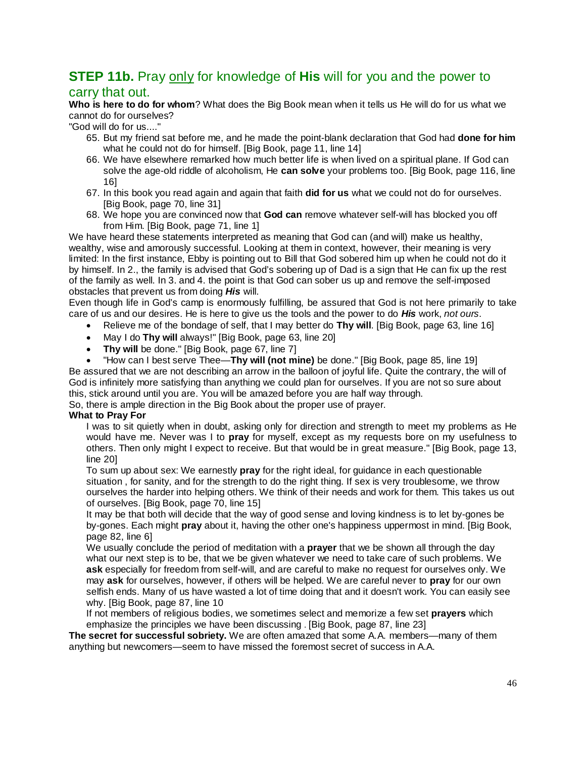## **STEP 11b.** Pray only for knowledge of **His** will for you and the power to

#### carry that out.

**Who is here to do for whom**? What does the Big Book mean when it tells us He will do for us what we cannot do for ourselves?

"God will do for us...."

- 65. But my friend sat before me, and he made the point-blank declaration that God had **done for him** what he could not do for himself. [Big Book, page 11, line 14]
- 66. We have elsewhere remarked how much better life is when lived on a spiritual plane. If God can solve the age-old riddle of alcoholism, He **can solve** your problems too. [Big Book, page 116, line 16]
- 67. In this book you read again and again that faith **did for us** what we could not do for ourselves. [Big Book, page 70, line 31]
- 68. We hope you are convinced now that **God can** remove whatever self-will has blocked you off from Him. [Big Book, page 71, line 1]

We have heard these statements interpreted as meaning that God can (and will) make us healthy, wealthy, wise and amorously successful. Looking at them in context, however, their meaning is very limited: In the first instance, Ebby is pointing out to Bill that God sobered him up when he could not do it by himself. In 2., the family is advised that God's sobering up of Dad is a sign that He can fix up the rest of the family as well. In 3. and 4. the point is that God can sober us up and remove the self-imposed obstacles that prevent us from doing *His* will.

Even though life in God's camp is enormously fulfilling, be assured that God is not here primarily to take care of us and our desires. He is here to give us the tools and the power to do *His* work, *not ours*.

- Relieve me of the bondage of self, that I may better do **Thy will**. [Big Book, page 63, line 16]
- May I do **Thy will** always!" [Big Book, page 63, line 20]
- Thy will be done." [Big Book, page 67, line 7]

 "How can I best serve Thee—**Thy will (not mine)** be done." [Big Book, page 85, line 19] Be assured that we are not describing an arrow in the balloon of joyful life. Quite the contrary, the will of God is infinitely more satisfying than anything we could plan for ourselves. If you are not so sure about this, stick around until you are. You will be amazed before you are half way through. So, there is ample direction in the Big Book about the proper use of prayer.

#### **What to Pray For**

I was to sit quietly when in doubt, asking only for direction and strength to meet my problems as He would have me. Never was I to **pray** for myself, except as my requests bore on my usefulness to others. Then only might I expect to receive. But that would be in great measure." [Big Book, page 13, line 20]

To sum up about sex: We earnestly **pray** for the right ideal, for guidance in each questionable situation , for sanity, and for the strength to do the right thing. If sex is very troublesome, we throw ourselves the harder into helping others. We think of their needs and work for them. This takes us out of ourselves. [Big Book, page 70, line 15]

It may be that both will decide that the way of good sense and loving kindness is to let by-gones be by-gones. Each might **pray** about it, having the other one's happiness uppermost in mind. [Big Book, page 82, line 6]

We usually conclude the period of meditation with a **prayer** that we be shown all through the day what our next step is to be, that we be given whatever we need to take care of such problems. We **ask** especially for freedom from self-will, and are careful to make no request for ourselves only. We may **ask** for ourselves, however, if others will be helped. We are careful never to **pray** for our own selfish ends. Many of us have wasted a lot of time doing that and it doesn't work. You can easily see why. [Big Book, page 87, line 10

If not members of religious bodies, we sometimes select and memorize a few set **prayers** which emphasize the principles we have been discussing . [Big Book, page 87, line 23]

**The secret for successful sobriety.** We are often amazed that some A.A. members—many of them anything but newcomers—seem to have missed the foremost secret of success in A.A.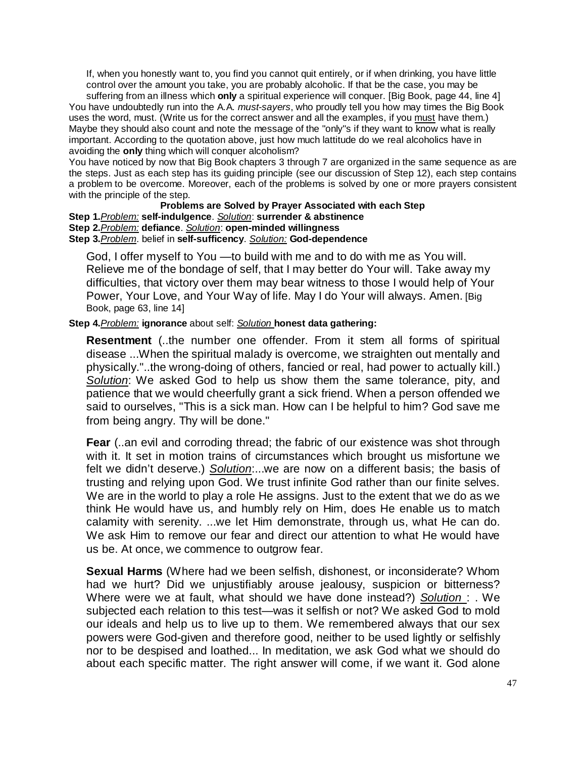If, when you honestly want to, you find you cannot quit entirely, or if when drinking, you have little control over the amount you take, you are probably alcoholic. If that be the case, you may be

suffering from an illness which **only** a spiritual experience will conquer. [Big Book, page 44, line 4] You have undoubtedly run into the A.A. *must-sayers*, who proudly tell you how may times the Big Book uses the word, must. (Write us for the correct answer and all the examples, if you must have them.) Maybe they should also count and note the message of the "only"s if they want to know what is really important. According to the quotation above, just how much lattitude do we real alcoholics have in avoiding the **only** thing which will conquer alcoholism?

You have noticed by now that Big Book chapters 3 through 7 are organized in the same sequence as are the steps. Just as each step has its guiding principle (see our discussion of Step 12), each step contains a problem to be overcome. Moreover, each of the problems is solved by one or more prayers consistent with the principle of the step.

**Problems are Solved by Prayer Associated with each Step Step 1.***Problem:* **self-indulgence**. *Solution*: **surrender & abstinence Step 2.***Problem:* **defiance**. *Solution*: **open-minded willingness Step 3.***Problem*. belief in **self-sufficency**. *Solution:* **God-dependence**

God, I offer myself to You —to build with me and to do with me as You will. Relieve me of the bondage of self, that I may better do Your will. Take away my difficulties, that victory over them may bear witness to those I would help of Your Power, Your Love, and Your Way of life. May I do Your will always. Amen. [Big Book, page 63, line 14]

**Step 4.***Problem:* **ignorance** about self: *Solution* **honest data gathering:**

**Resentment** (..the number one offender. From it stem all forms of spiritual disease ...When the spiritual malady is overcome, we straighten out mentally and physically."..the wrong-doing of others, fancied or real, had power to actually kill.) *Solution*: We asked God to help us show them the same tolerance, pity, and patience that we would cheerfully grant a sick friend. When a person offended we said to ourselves, "This is a sick man. How can I be helpful to him? God save me from being angry. Thy will be done."

**Fear** (..an evil and corroding thread; the fabric of our existence was shot through with it. It set in motion trains of circumstances which brought us misfortune we felt we didn't deserve.) *Solution*:...we are now on a different basis; the basis of trusting and relying upon God. We trust infinite God rather than our finite selves. We are in the world to play a role He assigns. Just to the extent that we do as we think He would have us, and humbly rely on Him, does He enable us to match calamity with serenity. ...we let Him demonstrate, through us, what He can do. We ask Him to remove our fear and direct our attention to what He would have us be. At once, we commence to outgrow fear.

**Sexual Harms** (Where had we been selfish, dishonest, or inconsiderate? Whom had we hurt? Did we unjustifiably arouse jealousy, suspicion or bitterness? Where were we at fault, what should we have done instead?) *Solution* : . We subjected each relation to this test—was it selfish or not? We asked God to mold our ideals and help us to live up to them. We remembered always that our sex powers were God-given and therefore good, neither to be used lightly or selfishly nor to be despised and loathed... In meditation, we ask God what we should do about each specific matter. The right answer will come, if we want it. God alone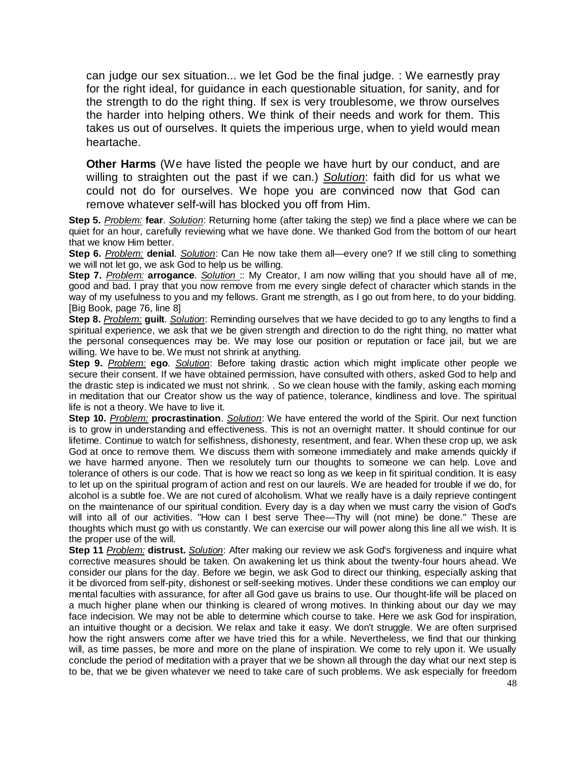can judge our sex situation... we let God be the final judge. : We earnestly pray for the right ideal, for guidance in each questionable situation, for sanity, and for the strength to do the right thing. If sex is very troublesome, we throw ourselves the harder into helping others. We think of their needs and work for them. This takes us out of ourselves. It quiets the imperious urge, when to yield would mean heartache.

**Other Harms** (We have listed the people we have hurt by our conduct, and are willing to straighten out the past if we can.) *Solution*: faith did for us what we could not do for ourselves. We hope you are convinced now that God can remove whatever self-will has blocked you off from Him.

**Step 5.** *Problem:* **fear**. *Solution*: Returning home (after taking the step) we find a place where we can be quiet for an hour, carefully reviewing what we have done. We thanked God from the bottom of our heart that we know Him better.

**Step 6.** *Problem:* **denial**. *Solution*: Can He now take them all—every one? If we still cling to something we will not let go, we ask God to help us be willing.

**Step 7.** *Problem:* **arrogance**. *Solution* :: My Creator, I am now willing that you should have all of me, good and bad. I pray that you now remove from me every single defect of character which stands in the way of my usefulness to you and my fellows. Grant me strength, as I go out from here, to do your bidding. [Big Book, page 76, line 8]

**Step 8.** *Problem:* **guilt**. *Solution*: Reminding ourselves that we have decided to go to any lengths to find a spiritual experience, we ask that we be given strength and direction to do the right thing, no matter what the personal consequences may be. We may lose our position or reputation or face jail, but we are willing. We have to be. We must not shrink at anything.

**Step 9.** *Problem:* **ego***. Solution*: Before taking drastic action which might implicate other people we secure their consent. If we have obtained permission, have consulted with others, asked God to help and the drastic step is indicated we must not shrink. . So we clean house with the family, asking each morning in meditation that our Creator show us the way of patience, tolerance, kindliness and love. The spiritual life is not a theory. We have to live it.

**Step 10.** *Problem:* **procrastination**. *Solution*: We have entered the world of the Spirit. Our next function is to grow in understanding and effectiveness. This is not an overnight matter. It should continue for our lifetime. Continue to watch for selfishness, dishonesty, resentment, and fear. When these crop up, we ask God at once to remove them. We discuss them with someone immediately and make amends quickly if we have harmed anyone. Then we resolutely turn our thoughts to someone we can help. Love and tolerance of others is our code. That is how we react so long as we keep in fit spiritual condition. It is easy to let up on the spiritual program of action and rest on our laurels. We are headed for trouble if we do, for alcohol is a subtle foe. We are not cured of alcoholism. What we really have is a daily reprieve contingent on the maintenance of our spiritual condition. Every day is a day when we must carry the vision of God's will into all of our activities. "How can I best serve Thee—Thy will (not mine) be done." These are thoughts which must go with us constantly. We can exercise our will power along this line all we wish. It is the proper use of the will.

**Step 11** *Problem:* **distrust.** *Solution*: After making our review we ask God's forgiveness and inquire what corrective measures should be taken. On awakening let us think about the twenty-four hours ahead. We consider our plans for the day. Before we begin, we ask God to direct our thinking, especially asking that it be divorced from self-pity, dishonest or self-seeking motives. Under these conditions we can employ our mental faculties with assurance, for after all God gave us brains to use. Our thought-life will be placed on a much higher plane when our thinking is cleared of wrong motives. In thinking about our day we may face indecision. We may not be able to determine which course to take. Here we ask God for inspiration, an intuitive thought or a decision. We relax and take it easy. We don't struggle. We are often surprised how the right answers come after we have tried this for a while. Nevertheless, we find that our thinking will, as time passes, be more and more on the plane of inspiration. We come to rely upon it. We usually conclude the period of meditation with a prayer that we be shown all through the day what our next step is to be, that we be given whatever we need to take care of such problems. We ask especially for freedom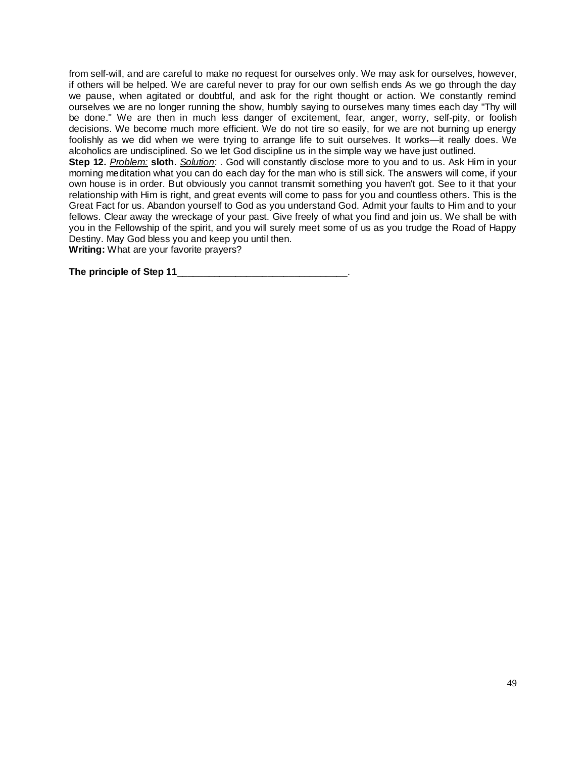from self-will, and are careful to make no request for ourselves only. We may ask for ourselves, however, if others will be helped. We are careful never to pray for our own selfish ends As we go through the day we pause, when agitated or doubtful, and ask for the right thought or action. We constantly remind ourselves we are no longer running the show, humbly saying to ourselves many times each day "Thy will be done." We are then in much less danger of excitement, fear, anger, worry, self-pity, or foolish decisions. We become much more efficient. We do not tire so easily, for we are not burning up energy foolishly as we did when we were trying to arrange life to suit ourselves. It works—it really does. We alcoholics are undisciplined. So we let God discipline us in the simple way we have just outlined.

**Step 12.** *Problem:* **sloth**. *Solution*: . God will constantly disclose more to you and to us. Ask Him in your morning meditation what you can do each day for the man who is still sick. The answers will come, if your own house is in order. But obviously you cannot transmit something you haven't got. See to it that your relationship with Him is right, and great events will come to pass for you and countless others. This is the Great Fact for us. Abandon yourself to God as you understand God. Admit your faults to Him and to your fellows. Clear away the wreckage of your past. Give freely of what you find and join us. We shall be with you in the Fellowship of the spirit, and you will surely meet some of us as you trudge the Road of Happy Destiny. May God bless you and keep you until then.

**Writing:** What are your favorite prayers?

The principle of Step 11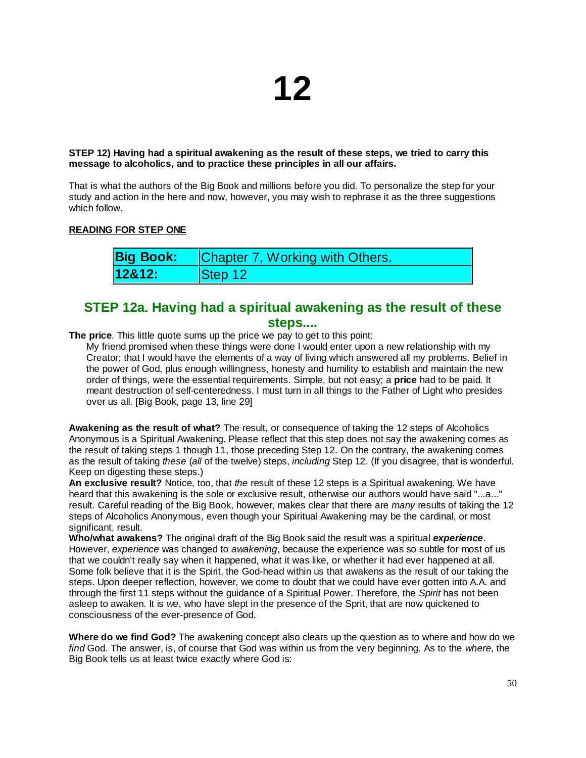# **12**

**STEP 12) Having had a spiritual awakening as the result of these steps, we tried to carry this message to alcoholics, and to practice these principles in all our affairs.**

That is what the authors of the Big Book and millions before you did. To personalize the step for your study and action in the here and now, however, you may wish to rephrase it as the three suggestions which follow.

#### **READING FOR STEP ONE**

| <b>Big Book:</b> | Chapter 7, Working with Others. |
|------------------|---------------------------------|
| 12812:           | $\sqrt{\text{Step } 12}$        |

## **STEP 12a. Having had a spiritual awakening as the result of these steps....**

**The price**. This little quote sums up the price we pay to get to this point:

My friend promised when these things were done I would enter upon a new relationship with my Creator; that I would have the elements of a way of living which answered all my problems. Belief in the power of God, plus enough willingness, honesty and humility to establish and maintain the new order of things, were the essential requirements. Simple, but not easy; a **price** had to be paid. It meant destruction of self-centeredness. I must turn in all things to the Father of Light who presides over us all. [Big Book, page 13, line 29]

**Awakening as the result of what?** The result, or consequence of taking the 12 steps of Alcoholics Anonymous is a Spiritual Awakening. Please reflect that this step does not say the awakening comes as the result of taking steps 1 though 11, those preceding Step 12. On the contrary, the awakening comes as the result of taking *these* (*all* of the twelve) steps, *including* Step 12. (If you disagree, that is wonderful. Keep on digesting these steps.)

**An exclusive result?** Notice, too, that *the* result of these 12 steps is a Spiritual awakening. We have heard that this awakening is the sole or exclusive result, otherwise our authors would have said "...a..." result. Careful reading of the Big Book, however, makes clear that there are *many* results of taking the 12 steps of Alcoholics Anonymous, even though your Spiritual Awakening may be the cardinal, or most significant, result.

**Who/what awakens?** The original draft of the Big Book said the result was a spiritual *experience*. However, *experience* was changed to *awakening*, because the experience was so subtle for most of us that we couldn't really say when it happened, what it was like, or whether it had ever happened at all. Some folk believe that it is the Spirit, the God-head within us that awakens as the result of our taking the steps. Upon deeper reflection, however, we come to doubt that we could have ever gotten into A.A. and through the first 11 steps without the guidance of a Spiritual Power. Therefore, the *Spirit* has not been asleep to awaken. It is *we*, who have slept in the presence of the Sprit, that are now quickened to consciousness of the ever-presence of God.

**Where do we find God?** The awakening concept also clears up the question as to where and how do we *find* God. The answer, is, of course that God was within us from the very beginning. As to the *where*, the Big Book tells us at least twice exactly where God is: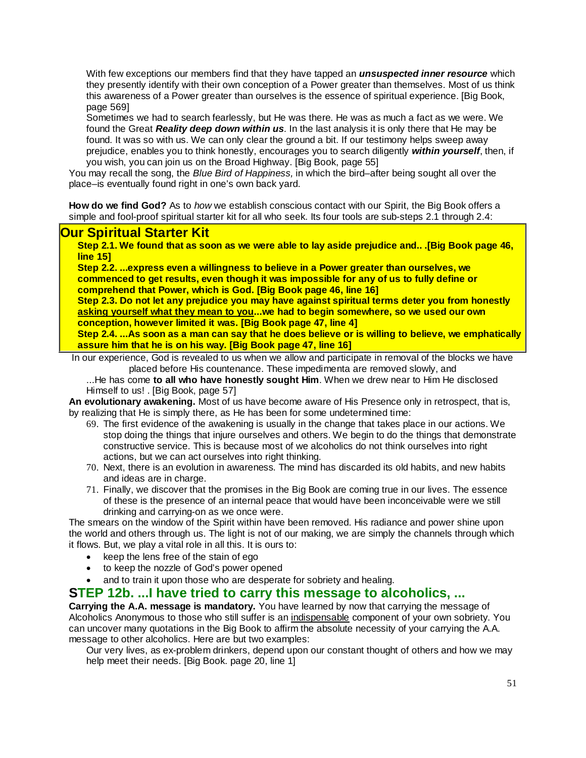With few exceptions our members find that they have tapped an *unsuspected inner resource* which they presently identify with their own conception of a Power greater than themselves. Most of us think this awareness of a Power greater than ourselves is the essence of spiritual experience. [Big Book, page 569]

Sometimes we had to search fearlessly, but He was there. He was as much a fact as we were. We found the Great *Reality deep down within us*. In the last analysis it is only there that He may be found. It was so with us. We can only clear the ground a bit. If our testimony helps sweep away prejudice, enables you to think honestly, encourages you to search diligently *within yourself*, then, if you wish, you can join us on the Broad Highway. [Big Book, page 55]

You may recall the song, the *Blue Bird of Happiness,* in which the bird–after being sought all over the place–is eventually found right in one's own back yard.

**How do we find God?** As to *how* we establish conscious contact with our Spirit, the Big Book offers a simple and fool-proof spiritual starter kit for all who seek. Its four tools are sub-steps 2.1 through 2.4:

#### **Our Spiritual Starter Kit**

**Step 2.1. We found that as soon as we were able to lay aside prejudice and.. .[Big Book page 46, line 15]**

**Step 2.2. ...express even a willingness to believe in a Power greater than ourselves, we commenced to get results, even though it was impossible for any of us to fully define or comprehend that Power, which is God. [Big Book page 46, line 16]**

**Step 2.3. Do not let any prejudice you may have against spiritual terms deter you from honestly asking yourself what they mean to you...we had to begin somewhere, so we used our own conception, however limited it was. [Big Book page 47, line 4]**

**Step 2.4. ...As soon as a man can say that he does believe or is willing to believe, we emphatically assure him that he is on his way. [Big Book page 47, line 16]**

In our experience, God is revealed to us when we allow and participate in removal of the blocks we have placed before His countenance. These impedimenta are removed slowly, and

...He has come **to all who have honestly sought Him**. When we drew near to Him He disclosed Himself to us! . [Big Book, page 57]

**An evolutionary awakening.** Most of us have become aware of His Presence only in retrospect, that is, by realizing that He is simply there, as He has been for some undetermined time:

- 69. The first evidence of the awakening is usually in the change that takes place in our actions. We stop doing the things that injure ourselves and others. We begin to do the things that demonstrate constructive service. This is because most of we alcoholics do not think ourselves into right actions, but we can act ourselves into right thinking.
- 70. Next, there is an evolution in awareness. The mind has discarded its old habits, and new habits and ideas are in charge.
- 71. Finally, we discover that the promises in the Big Book are coming true in our lives. The essence of these is the presence of an internal peace that would have been inconceivable were we still drinking and carrying-on as we once were.

The smears on the window of the Spirit within have been removed. His radiance and power shine upon the world and others through us. The light is not of our making, we are simply the channels through which it flows. But, we play a vital role in all this. It is ours to:

- keep the lens free of the stain of ego
- to keep the nozzle of God's power opened
- and to train it upon those who are desperate for sobriety and healing.

#### **STEP 12b. ...I have tried to carry this message to alcoholics, ...**

**Carrying the A.A. message is mandatory.** You have learned by now that carrying the message of Alcoholics Anonymous to those who still suffer is an indispensable component of your own sobriety. You can uncover many quotations in the Big Book to affirm the absolute necessity of your carrying the A.A. message to other alcoholics. Here are but two examples:

Our very lives, as ex-problem drinkers, depend upon our constant thought of others and how we may help meet their needs. [Big Book. page 20, line 1]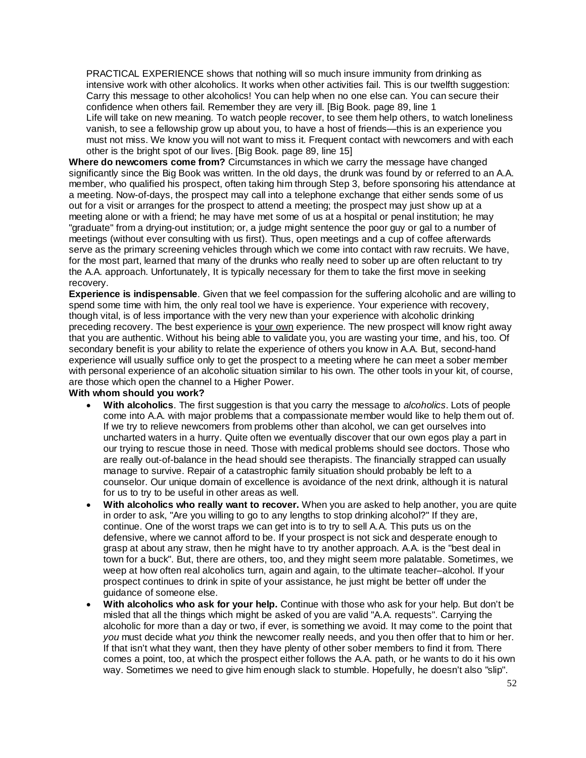PRACTICAL EXPERIENCE shows that nothing will so much insure immunity from drinking as intensive work with other alcoholics. It works when other activities fail. This is our twelfth suggestion: Carry this message to other alcoholics! You can help when no one else can. You can secure their confidence when others fail. Remember they are very ill. [Big Book. page 89, line 1 Life will take on new meaning. To watch people recover, to see them help others, to watch loneliness vanish, to see a fellowship grow up about you, to have a host of friends—this is an experience you must not miss. We know you will not want to miss it. Frequent contact with newcomers and with each other is the bright spot of our lives. [Big Book. page 89, line 15]

**Where do newcomers come from?** Circumstances in which we carry the message have changed significantly since the Big Book was written. In the old days, the drunk was found by or referred to an A.A. member, who qualified his prospect, often taking him through Step 3, before sponsoring his attendance at a meeting. Now-of-days, the prospect may call into a telephone exchange that either sends some of us out for a visit or arranges for the prospect to attend a meeting; the prospect may just show up at a meeting alone or with a friend; he may have met some of us at a hospital or penal institution; he may "graduate" from a drying-out institution; or, a judge might sentence the poor guy or gal to a number of meetings (without ever consulting with us first). Thus, open meetings and a cup of coffee afterwards serve as the primary screening vehicles through which we come into contact with raw recruits. We have, for the most part, learned that many of the drunks who really need to sober up are often reluctant to try the A.A. approach. Unfortunately, It is typically necessary for them to take the first move in seeking recovery.

**Experience is indispensable**. Given that we feel compassion for the suffering alcoholic and are willing to spend some time with him, the only real tool we have is experience. Your experience with recovery, though vital, is of less importance with the very new than your experience with alcoholic drinking preceding recovery. The best experience is your own experience. The new prospect will know right away that you are authentic. Without his being able to validate you, you are wasting your time, and his, too. Of secondary benefit is your ability to relate the experience of others you know in A.A. But, second-hand experience will usually suffice only to get the prospect to a meeting where he can meet a sober member with personal experience of an alcoholic situation similar to his own. The other tools in your kit, of course, are those which open the channel to a Higher Power.

#### **With whom should you work?**

- **With alcoholics**. The first suggestion is that you carry the message to *alcoholics*. Lots of people come into A.A. with major problems that a compassionate member would like to help them out of. If we try to relieve newcomers from problems other than alcohol, we can get ourselves into uncharted waters in a hurry. Quite often we eventually discover that our own egos play a part in our trying to rescue those in need. Those with medical problems should see doctors. Those who are really out-of-balance in the head should see therapists. The financially strapped can usually manage to survive. Repair of a catastrophic family situation should probably be left to a counselor. Our unique domain of excellence is avoidance of the next drink, although it is natural for us to try to be useful in other areas as well.
- **With alcoholics who really want to recover.** When you are asked to help another, you are quite in order to ask, "Are you willing to go to any lengths to stop drinking alcohol?" If they are, continue. One of the worst traps we can get into is to try to sell A.A. This puts us on the defensive, where we cannot afford to be. If your prospect is not sick and desperate enough to grasp at about any straw, then he might have to try another approach. A.A. is the "best deal in town for a buck". But, there are others, too, and they might seem more palatable. Sometimes, we weep at how often real alcoholics turn, again and again, to the ultimate teacher–alcohol. If your prospect continues to drink in spite of your assistance, he just might be better off under the guidance of someone else.
- **With alcoholics who ask for your help.** Continue with those who ask for your help. But don't be misled that all the things which might be asked of you are valid "A.A. requests". Carrying the alcoholic for more than a day or two, if ever, is something we avoid. It may come to the point that *you* must decide what *you* think the newcomer really needs, and you then offer that to him or her. If that isn't what they want, then they have plenty of other sober members to find it from. There comes a point, too, at which the prospect either follows the A.A. path, or he wants to do it his own way. Sometimes we need to give him enough slack to stumble. Hopefully, he doesn't also "slip".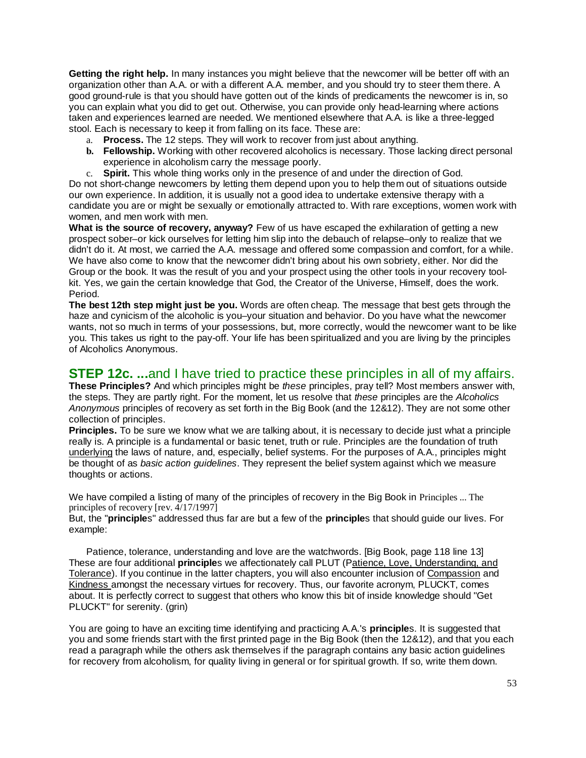Getting the right help. In many instances you might believe that the newcomer will be better off with an organization other than A.A. or with a different A.A. member, and you should try to steer them there. A good ground-rule is that you should have gotten out of the kinds of predicaments the newcomer is in, so you can explain what you did to get out. Otherwise, you can provide only head-learning where actions taken and experiences learned are needed. We mentioned elsewhere that A.A. is like a three-legged stool. Each is necessary to keep it from falling on its face. These are:

- a. **Process.** The 12 steps. They will work to recover from just about anything.
- **b. Fellowship.** Working with other recovered alcoholics is necessary. Those lacking direct personal experience in alcoholism carry the message poorly.
- c. **Spirit.** This whole thing works only in the presence of and under the direction of God.

Do not short-change newcomers by letting them depend upon you to help them out of situations outside our own experience. In addition, it is usually not a good idea to undertake extensive therapy with a candidate you are or might be sexually or emotionally attracted to. With rare exceptions, women work with women, and men work with men.

**What is the source of recovery, anyway?** Few of us have escaped the exhilaration of getting a new prospect sober–or kick ourselves for letting him slip into the debauch of relapse–only to realize that we didn't do it. At most, we carried the A.A. message and offered some compassion and comfort, for a while. We have also come to know that the newcomer didn't bring about his own sobriety, either. Nor did the Group or the book. It was the result of you and your prospect using the other tools in your recovery toolkit. Yes, we gain the certain knowledge that God, the Creator of the Universe, Himself, does the work. Period.

**The best 12th step might just be you.** Words are often cheap. The message that best gets through the haze and cynicism of the alcoholic is you–your situation and behavior. Do you have what the newcomer wants, not so much in terms of your possessions, but, more correctly, would the newcomer want to be like you. This takes us right to the pay-off. Your life has been spiritualized and you are living by the principles of Alcoholics Anonymous.

### **STEP 12c.** ...and I have tried to practice these principles in all of my affairs.

**These Principles?** And which principles might be *these* principles, pray tell? Most members answer with, the steps. They are partly right. For the moment, let us resolve that *these* principles are the *Alcoholics Anonymous* principles of recovery as set forth in the Big Book (and the 12&12). They are not some other collection of principles.

**Principles.** To be sure we know what we are talking about, it is necessary to decide just what a principle really is. A principle is a fundamental or basic tenet, truth or rule. Principles are the foundation of truth underlying the laws of nature, and, especially, belief systems. For the purposes of A.A., principles might be thought of as *basic action guidelines*. They represent the belief system against which we measure thoughts or actions.

We have compiled a listing of many of the principles of recovery in the Big Book in Principles ... The principles of recovery [rev. 4/17/1997]

But, the "**principle**s" addressed thus far are but a few of the **principle**s that should guide our lives. For example:

Patience, tolerance, understanding and love are the watchwords. [Big Book, page 118 line 13] These are four additional **principle**s we affectionately call PLUT (Patience, Love, Understanding, and Tolerance). If you continue in the latter chapters, you will also encounter inclusion of Compassion and Kindness amongst the necessary virtues for recovery. Thus, our favorite acronym, PLUCKT, comes about. It is perfectly correct to suggest that others who know this bit of inside knowledge should "Get PLUCKT" for serenity. (grin)

You are going to have an exciting time identifying and practicing A.A.'s **principle**s. It is suggested that you and some friends start with the first printed page in the Big Book (then the 12&12), and that you each read a paragraph while the others ask themselves if the paragraph contains any basic action guidelines for recovery from alcoholism, for quality living in general or for spiritual growth. If so, write them down.